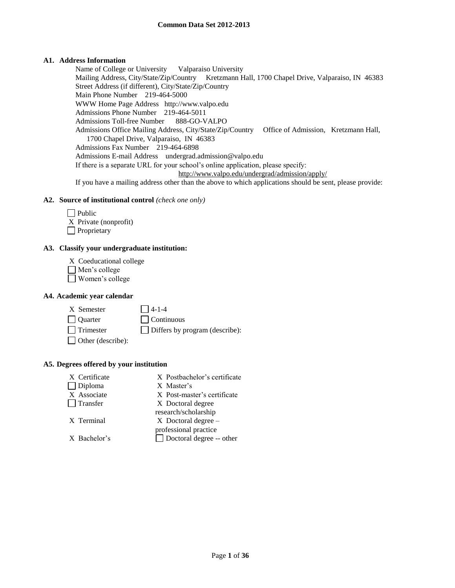## **A1. Address Information**

Name of College or University Valparaiso University Mailing Address, City/State/Zip/Country Kretzmann Hall, 1700 Chapel Drive, Valparaiso, IN 46383 Street Address (if different), City/State/Zip/Country Main Phone Number 219-464-5000 WWW Home Page Address http://www.valpo.edu Admissions Phone Number 219-464-5011 Admissions Toll-free Number 888-GO-VALPO Admissions Office Mailing Address, City/State/Zip/Country Office of Admission, Kretzmann Hall, 1700 Chapel Drive, Valparaiso, IN 46383 Admissions Fax Number 219-464-6898 Admissions E-mail Address undergrad.admission@valpo.edu If there is a separate URL for your school's online application, please specify: http://www.valpo.edu/undergrad/admission/apply/ If you have a mailing address other than the above to which applications should be sent, please provide:

## **A2. Source of institutional control** *(check one only)*

| l Public              |
|-----------------------|
| X Private (nonprofit) |
| Proprietary           |

## **A3. Classify your undergraduate institution:**

- X Coeducational college
- Men's college
- Women's college

## **A4. Academic year calendar**

 $X$  Semester  $\Box$  4-1-4 Quarter Continuous Trimester Differs by program (describe): Other (describe):

## **A5. Degrees offered by your institution**

| X Certificate<br>$\Box$ Diploma | X Postbachelor's certificate<br>X Master's               |
|---------------------------------|----------------------------------------------------------|
| X Associate                     | X Post-master's certificate                              |
| Transfer                        | X Doctoral degree                                        |
|                                 | research/scholarship                                     |
| X Terminal                      | $X$ Doctoral degree $-$                                  |
| X Bachelor's                    | professional practice<br>$\Box$ Doctoral degree -- other |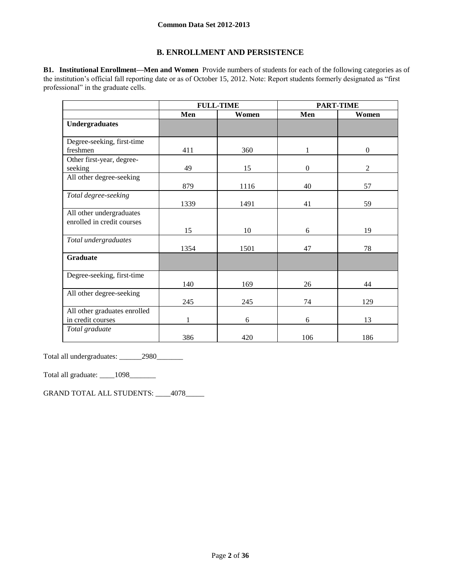## **B. ENROLLMENT AND PERSISTENCE**

**B1. Institutional Enrollment—Men and Women** Provide numbers of students for each of the following categories as of the institution's official fall reporting date or as of October 15, 2012. Note: Report students formerly designated as "first professional" in the graduate cells.

|                              |      | <b>FULL-TIME</b> |                  | <b>PART-TIME</b> |
|------------------------------|------|------------------|------------------|------------------|
|                              | Men  | Women            | Men              | Women            |
| <b>Undergraduates</b>        |      |                  |                  |                  |
|                              |      |                  |                  |                  |
| Degree-seeking, first-time   |      |                  |                  |                  |
| freshmen                     | 411  | 360              | 1                | $\mathbf{0}$     |
| Other first-year, degree-    |      |                  |                  |                  |
| seeking                      | 49   | 15               | $\boldsymbol{0}$ | 2                |
| All other degree-seeking     |      |                  |                  |                  |
|                              | 879  | 1116             | 40               | 57               |
| Total degree-seeking         |      |                  |                  |                  |
|                              | 1339 | 1491             | 41               | 59               |
| All other undergraduates     |      |                  |                  |                  |
| enrolled in credit courses   |      |                  |                  |                  |
|                              | 15   | 10               | 6                | 19               |
| Total undergraduates         |      |                  |                  |                  |
|                              | 1354 | 1501             | 47               | 78               |
| <b>Graduate</b>              |      |                  |                  |                  |
|                              |      |                  |                  |                  |
| Degree-seeking, first-time   |      |                  |                  |                  |
|                              | 140  | 169              | 26               | 44               |
| All other degree-seeking     |      |                  |                  |                  |
|                              | 245  | 245              | 74               | 129              |
| All other graduates enrolled |      |                  |                  |                  |
| in credit courses            |      | 6                | 6                | 13               |
| Total graduate               |      |                  |                  |                  |
|                              | 386  | 420              | 106              | 186              |

Total all undergraduates: \_\_\_\_\_\_2980\_\_\_\_\_\_\_

Total all graduate: \_\_\_\_1098\_\_\_\_\_\_\_

GRAND TOTAL ALL STUDENTS: \_\_\_\_4078\_\_\_\_\_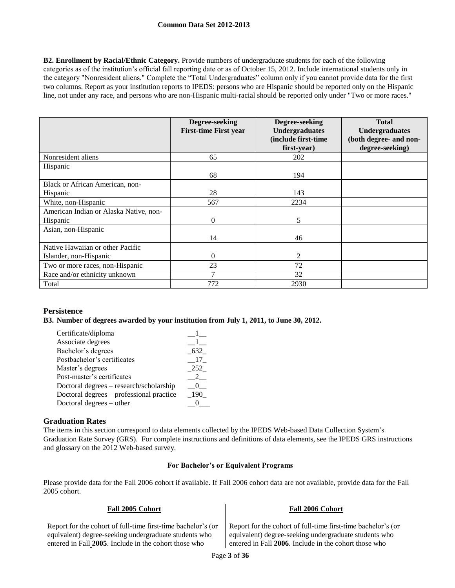**B2. Enrollment by Racial/Ethnic Category.** Provide numbers of undergraduate students for each of the following categories as of the institution's official fall reporting date or as of October 15, 2012. Include international students only in the category "Nonresident aliens." Complete the "Total Undergraduates" column only if you cannot provide data for the first two columns. Report as your institution reports to IPEDS: persons who are Hispanic should be reported only on the Hispanic line, not under any race, and persons who are non-Hispanic multi-racial should be reported only under "Two or more races."

|                                        | Degree-seeking<br><b>First-time First year</b> | Degree-seeking<br><b>Undergraduates</b> | <b>Total</b><br><b>Undergraduates</b> |
|----------------------------------------|------------------------------------------------|-----------------------------------------|---------------------------------------|
|                                        |                                                | (include first-time                     | (both degree- and non-                |
|                                        |                                                | first-year)                             | degree-seeking)                       |
| Nonresident aliens                     | 65                                             | 202                                     |                                       |
| Hispanic                               |                                                |                                         |                                       |
|                                        | 68                                             | 194                                     |                                       |
| Black or African American, non-        |                                                |                                         |                                       |
| Hispanic                               | 28                                             | 143                                     |                                       |
| White, non-Hispanic                    | 567                                            | 2234                                    |                                       |
| American Indian or Alaska Native, non- |                                                |                                         |                                       |
| Hispanic                               | $\overline{0}$                                 | 5                                       |                                       |
| Asian, non-Hispanic                    |                                                |                                         |                                       |
|                                        | 14                                             | 46                                      |                                       |
| Native Hawaiian or other Pacific       |                                                |                                         |                                       |
| Islander, non-Hispanic                 | $\theta$                                       | 2                                       |                                       |
| Two or more races, non-Hispanic        | 23                                             | 72                                      |                                       |
| Race and/or ethnicity unknown          | 7                                              | 32                                      |                                       |
| Total                                  | 772                                            | 2930                                    |                                       |

## **Persistence**

## **B3. Number of degrees awarded by your institution from July 1, 2011, to June 30, 2012.**

| Certificate/diploma                      |       |
|------------------------------------------|-------|
| Associate degrees                        |       |
| Bachelor's degrees                       | 632   |
| Postbachelor's certificates              | 17    |
| Master's degrees                         | 252   |
| Post-master's certificates               |       |
| Doctoral degrees - research/scholarship  |       |
| Doctoral degrees – professional practice | - 190 |
| Doctoral degrees – other                 |       |

## **Graduation Rates**

The items in this section correspond to data elements collected by the IPEDS Web-based Data Collection System's Graduation Rate Survey (GRS). For complete instructions and definitions of data elements, see the IPEDS GRS instructions and glossary on the 2012 Web-based survey.

#### **For Bachelor's or Equivalent Programs**

Please provide data for the Fall 2006 cohort if available. If Fall 2006 cohort data are not available, provide data for the Fall 2005 cohort.

|  | Fall 2005 Cohort |
|--|------------------|
|  |                  |

Report for the cohort of full-time first-time bachelor's (or equivalent) degree-seeking undergraduate students who entered in Fall **2005**. Include in the cohort those who

#### **Fall 2005 Cohort Fall 2006 Cohort**

Report for the cohort of full-time first-time bachelor's (or equivalent) degree-seeking undergraduate students who entered in Fall **2006**. Include in the cohort those who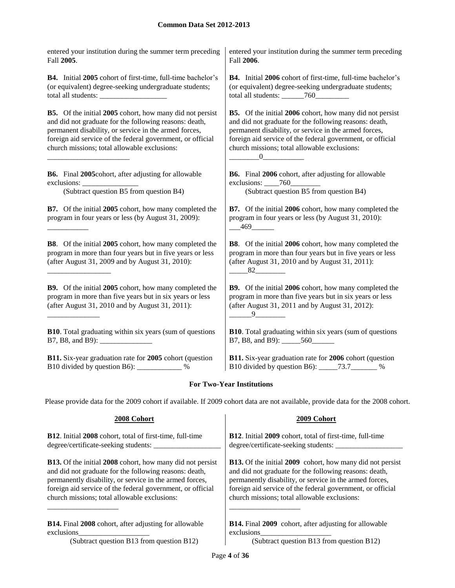| entered your institution during the summer term preceding                                                                                                                                                                                                                                        | entered your institution during the summer term preceding                                                                                                                                                                                                                                                                                                       |
|--------------------------------------------------------------------------------------------------------------------------------------------------------------------------------------------------------------------------------------------------------------------------------------------------|-----------------------------------------------------------------------------------------------------------------------------------------------------------------------------------------------------------------------------------------------------------------------------------------------------------------------------------------------------------------|
| Fall 2005.                                                                                                                                                                                                                                                                                       | Fall 2006.                                                                                                                                                                                                                                                                                                                                                      |
| <b>B4.</b> Initial 2005 cohort of first-time, full-time bachelor's                                                                                                                                                                                                                               | <b>B4.</b> Initial 2006 cohort of first-time, full-time bachelor's                                                                                                                                                                                                                                                                                              |
| (or equivalent) degree-seeking undergraduate students;                                                                                                                                                                                                                                           | (or equivalent) degree-seeking undergraduate students;                                                                                                                                                                                                                                                                                                          |
|                                                                                                                                                                                                                                                                                                  |                                                                                                                                                                                                                                                                                                                                                                 |
| <b>B5.</b> Of the initial 2005 cohort, how many did not persist<br>and did not graduate for the following reasons: death,<br>permanent disability, or service in the armed forces,<br>foreign aid service of the federal government, or official<br>church missions; total allowable exclusions: | <b>B5.</b> Of the initial 2006 cohort, how many did not persist<br>and did not graduate for the following reasons: death,<br>permanent disability, or service in the armed forces,<br>foreign aid service of the federal government, or official<br>church missions; total allowable exclusions:<br>$\underbrace{\hspace{2.5cm}} 0 \underbrace{\hspace{2.5cm}}$ |
| B6. Final 2005cohort, after adjusting for allowable                                                                                                                                                                                                                                              | <b>B6.</b> Final 2006 cohort, after adjusting for allowable                                                                                                                                                                                                                                                                                                     |
|                                                                                                                                                                                                                                                                                                  | exclusions: $\frac{760}{\ }$                                                                                                                                                                                                                                                                                                                                    |
| (Subtract question B5 from question B4)                                                                                                                                                                                                                                                          | (Subtract question B5 from question B4)                                                                                                                                                                                                                                                                                                                         |
| <b>B7.</b> Of the initial 2005 cohort, how many completed the<br>program in four years or less (by August 31, 2009):                                                                                                                                                                             | B7. Of the initial 2006 cohort, how many completed the<br>program in four years or less (by August 31, 2010):<br>$-469$                                                                                                                                                                                                                                         |
| <b>B8</b> . Of the initial 2005 cohort, how many completed the<br>program in more than four years but in five years or less<br>(after August 31, 2009 and by August 31, 2010):                                                                                                                   | <b>B8</b> . Of the initial 2006 cohort, how many completed the<br>program in more than four years but in five years or less<br>(after August 31, 2010 and by August 31, 2011):<br>$\frac{82}{\sqrt{2}}$                                                                                                                                                         |
| <b>B9.</b> Of the initial 2005 cohort, how many completed the<br>program in more than five years but in six years or less<br>(after August 31, 2010 and by August 31, 2011):                                                                                                                     | <b>B9.</b> Of the initial 2006 cohort, how many completed the<br>program in more than five years but in six years or less<br>(after August 31, 2011 and by August 31, 2012):<br>$-9$                                                                                                                                                                            |
| <b>B10</b> . Total graduating within six years (sum of questions                                                                                                                                                                                                                                 | <b>B10</b> . Total graduating within six years (sum of questions                                                                                                                                                                                                                                                                                                |
|                                                                                                                                                                                                                                                                                                  | B7, B8, and B9): ______560_______                                                                                                                                                                                                                                                                                                                               |
| B11. Six-year graduation rate for 2005 cohort (question                                                                                                                                                                                                                                          | B11. Six-year graduation rate for 2006 cohort (question                                                                                                                                                                                                                                                                                                         |
| B10 divided by question B6): _____________%                                                                                                                                                                                                                                                      | B10 divided by question B6): _____73.7_______ %                                                                                                                                                                                                                                                                                                                 |

# **For Two-Year Institutions**

Please provide data for the 2009 cohort if available. If 2009 cohort data are not available, provide data for the 2008 cohort.

| 2008 Cohort                                                      | 2009 Cohort                                                      |
|------------------------------------------------------------------|------------------------------------------------------------------|
| <b>B12.</b> Initial 2008 cohort, total of first-time, full-time  | B12. Initial 2009 cohort, total of first-time, full-time         |
| degree/certificate-seeking students:                             | degree/certificate-seeking students:                             |
| <b>B13.</b> Of the initial 2008 cohort, how many did not persist | <b>B13.</b> Of the initial 2009 cohort, how many did not persist |
| and did not graduate for the following reasons: death,           | and did not graduate for the following reasons: death,           |
| permanently disability, or service in the armed forces,          | permanently disability, or service in the armed forces,          |
| foreign aid service of the federal government, or official       | foreign aid service of the federal government, or official       |
| church missions; total allowable exclusions:                     | church missions; total allowable exclusions:                     |
| <b>B14.</b> Final 2008 cohort, after adjusting for allowable     | <b>B14.</b> Final 2009 cohort, after adjusting for allowable     |
| exclusions                                                       | exclusions                                                       |
| (Subtract question B13 from question B12)                        | (Subtract question B13 from question B12)                        |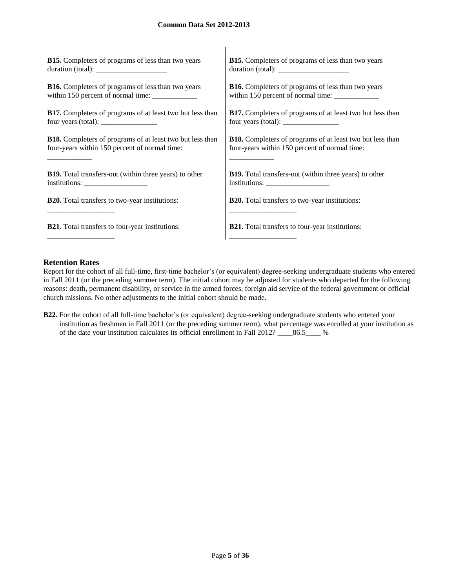| <b>B15.</b> Completers of programs of less than two years                                                                                                                                                                                                                                         | <b>B15.</b> Completers of programs of less than two years        |
|---------------------------------------------------------------------------------------------------------------------------------------------------------------------------------------------------------------------------------------------------------------------------------------------------|------------------------------------------------------------------|
| duration (total):                                                                                                                                                                                                                                                                                 | duration (total):                                                |
| <b>B16.</b> Completers of programs of less than two years                                                                                                                                                                                                                                         | <b>B16.</b> Completers of programs of less than two years        |
|                                                                                                                                                                                                                                                                                                   |                                                                  |
| <b>B17.</b> Completers of programs of at least two but less than                                                                                                                                                                                                                                  | <b>B17.</b> Completers of programs of at least two but less than |
| four years (total): $\frac{1}{2}$ = $\frac{1}{2}$ = $\frac{1}{2}$ = $\frac{1}{2}$ = $\frac{1}{2}$ = $\frac{1}{2}$ = $\frac{1}{2}$ = $\frac{1}{2}$ = $\frac{1}{2}$ = $\frac{1}{2}$ = $\frac{1}{2}$ = $\frac{1}{2}$ = $\frac{1}{2}$ = $\frac{1}{2}$ = $\frac{1}{2}$ = $\frac{1}{2}$ = $\frac{1}{2}$ |                                                                  |
| <b>B18.</b> Completers of programs of at least two but less than                                                                                                                                                                                                                                  | <b>B18.</b> Completers of programs of at least two but less than |
| four-years within 150 percent of normal time:                                                                                                                                                                                                                                                     | four-years within 150 percent of normal time:                    |
| <b>B19.</b> Total transfers-out (within three years) to other                                                                                                                                                                                                                                     | <b>B19.</b> Total transfers-out (within three years) to other    |
|                                                                                                                                                                                                                                                                                                   |                                                                  |
| <b>B20.</b> Total transfers to two-year institutions:                                                                                                                                                                                                                                             | <b>B20.</b> Total transfers to two-year institutions:            |
|                                                                                                                                                                                                                                                                                                   |                                                                  |
| <b>B21.</b> Total transfers to four-year institutions:                                                                                                                                                                                                                                            | <b>B21.</b> Total transfers to four-year institutions:           |
|                                                                                                                                                                                                                                                                                                   |                                                                  |

 $\overline{1}$ 

## **Retention Rates**

Report for the cohort of all full-time, first-time bachelor's (or equivalent) degree-seeking undergraduate students who entered in Fall 2011 (or the preceding summer term). The initial cohort may be adjusted for students who departed for the following reasons: death, permanent disability, or service in the armed forces, foreign aid service of the federal government or official church missions. No other adjustments to the initial cohort should be made.

**B22.** For the cohort of all full-time bachelor's (or equivalent) degree-seeking undergraduate students who entered your institution as freshmen in Fall 2011 (or the preceding summer term), what percentage was enrolled at your institution as of the date your institution calculates its official enrollment in Fall 2012? \_\_\_\_86.5\_\_\_\_ %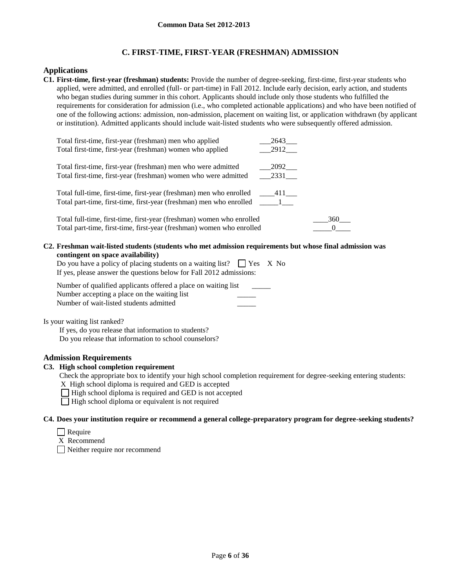# **C. FIRST-TIME, FIRST-YEAR (FRESHMAN) ADMISSION**

## **Applications**

**C1. First-time, first-year (freshman) students:** Provide the number of degree-seeking, first-time, first-year students who applied, were admitted, and enrolled (full- or part-time) in Fall 2012. Include early decision, early action, and students who began studies during summer in this cohort. Applicants should include only those students who fulfilled the requirements for consideration for admission (i.e., who completed actionable applications) and who have been notified of one of the following actions: admission, non-admission, placement on waiting list, or application withdrawn (by applicant or institution). Admitted applicants should include wait-listed students who were subsequently offered admission.

| Total first-time, first-year (freshman) men who applied<br>Total first-time, first-year (freshman) women who applied                           | 2643<br>2912       |     |
|------------------------------------------------------------------------------------------------------------------------------------------------|--------------------|-----|
| Total first-time, first-year (freshman) men who were admitted<br>Total first-time, first-year (freshman) women who were admitted               | 2092<br>2331       |     |
| Total full-time, first-time, first-year (freshman) men who enrolled<br>Total part-time, first-time, first-year (freshman) men who enrolled     | $411$ <sub>—</sub> |     |
| Total full-time, first-time, first-year (freshman) women who enrolled<br>Total part-time, first-time, first-year (freshman) women who enrolled |                    | 360 |

#### **C2. Freshman wait-listed students (students who met admission requirements but whose final admission was contingent on space availability)**

| Do you have a policy of placing students on a waiting list? $\Box$ Yes X No |  |
|-----------------------------------------------------------------------------|--|
| If yes, please answer the questions below for Fall 2012 admissions:         |  |

| Number of qualified applicants offered a place on waiting list |  |
|----------------------------------------------------------------|--|
| Number accepting a place on the waiting list                   |  |
| Number of wait-listed students admitted                        |  |

Is your waiting list ranked?

If yes, do you release that information to students? Do you release that information to school counselors?

## **Admission Requirements**

## **C3. High school completion requirement**

Check the appropriate box to identify your high school completion requirement for degree-seeking entering students:

X High school diploma is required and GED is accepted

 $\Box$  High school diploma is required and GED is not accepted

 $\Box$  High school diploma or equivalent is not required

## **C4. Does your institution require or recommend a general college-preparatory program for degree-seeking students?**

- $\Box$  Require
- X Recommend

Neither require nor recommend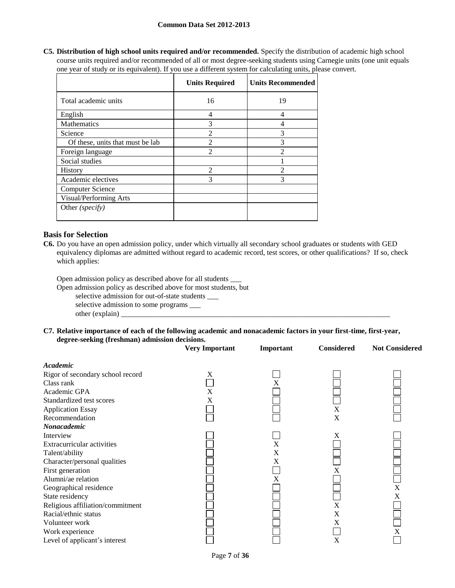**C5. Distribution of high school units required and/or recommended.** Specify the distribution of academic high school course units required and/or recommended of all or most degree-seeking students using Carnegie units (one unit equals one year of study or its equivalent). If you use a different system for calculating units, please convert.

|                                  | <b>Units Required</b> | <b>Units Recommended</b> |
|----------------------------------|-----------------------|--------------------------|
| Total academic units             | 16                    | 19                       |
| English                          | 4                     | 4                        |
| Mathematics                      | 3                     | 4                        |
| Science                          | $\mathfrak{D}$        | 3                        |
| Of these, units that must be lab | $\mathfrak{D}$        | 3                        |
| Foreign language                 | $\mathfrak{D}$        | っ                        |
| Social studies                   |                       |                          |
| <b>History</b>                   | $\mathfrak{D}$        | $\mathfrak{D}$           |
| Academic electives               | 3                     | 3                        |
| <b>Computer Science</b>          |                       |                          |
| Visual/Performing Arts           |                       |                          |
| Other (specify)                  |                       |                          |

## **Basis for Selection**

**C6.** Do you have an open admission policy, under which virtually all secondary school graduates or students with GED equivalency diplomas are admitted without regard to academic record, test scores, or other qualifications? If so, check which applies:

Open admission policy as described above for all students \_\_\_

Open admission policy as described above for most students, but

selective admission for out-of-state students \_\_\_

selective admission to some programs \_\_\_

 $other (explain)$ 

#### **C7. Relative importance of each of the following academic and nonacademic factors in your first-time, first-year, degree-seeking (freshman) admission decisions.**

|                                  | <b>Very Important</b> | Important      | <b>Considered</b> | <b>Not Considered</b>     |
|----------------------------------|-----------------------|----------------|-------------------|---------------------------|
| Academic                         |                       |                |                   |                           |
| Rigor of secondary school record | X                     |                |                   |                           |
| Class rank                       |                       | X              |                   |                           |
| Academic GPA                     | X                     |                |                   |                           |
| Standardized test scores         | X                     |                |                   |                           |
| <b>Application Essay</b>         |                       |                | X                 |                           |
| Recommendation                   |                       |                | X                 |                           |
| Nonacademic                      |                       |                |                   |                           |
| Interview                        |                       |                | X                 |                           |
| Extracurricular activities       |                       | X              |                   |                           |
| Talent/ability                   |                       | X              |                   |                           |
| Character/personal qualities     |                       | X              |                   |                           |
| First generation                 |                       |                | X                 |                           |
| Alumni/ae relation               |                       | $\overline{X}$ |                   |                           |
| Geographical residence           |                       |                |                   | $\boldsymbol{\mathrm{X}}$ |
| State residency                  |                       |                |                   | X                         |
| Religious affiliation/commitment |                       |                | X                 |                           |
| Racial/ethnic status             |                       |                | X                 |                           |
| Volunteer work                   |                       |                | X                 |                           |
| Work experience                  |                       |                |                   | X                         |
| Level of applicant's interest    |                       |                | X                 |                           |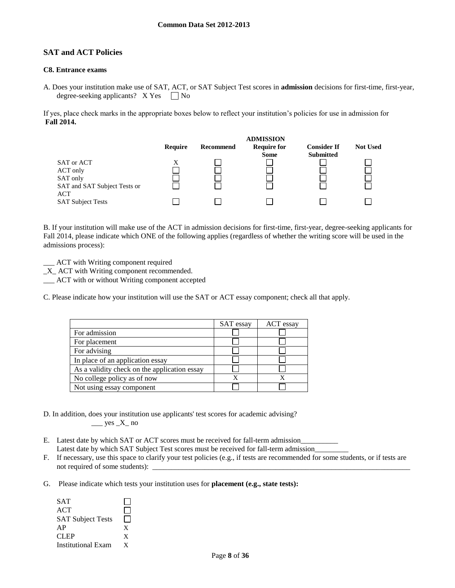## **SAT and ACT Policies**

## **C8. Entrance exams**

A. Does your institution make use of SAT, ACT, or SAT Subject Test scores in **admission** decisions for first-time, first-year, degree-seeking applicants?  $X Yes \tN$ 

If yes, place check marks in the appropriate boxes below to reflect your institution's policies for use in admission for **Fall 2014.**



B. If your institution will make use of the ACT in admission decisions for first-time, first-year, degree-seeking applicants for Fall 2014, please indicate which ONE of the following applies (regardless of whether the writing score will be used in the admissions process):

ACT with Writing component required

\_X\_ ACT with Writing component recommended.

\_\_\_ ACT with or without Writing component accepted

C. Please indicate how your institution will use the SAT or ACT essay component; check all that apply.

|                                              | SAT essay | ACT essay |
|----------------------------------------------|-----------|-----------|
| For admission                                |           |           |
| For placement                                |           |           |
| For advising                                 |           |           |
| In place of an application essay             |           |           |
| As a validity check on the application essay |           |           |
| No college policy as of now                  |           |           |
| Not using essay component                    |           |           |

- D. In addition, does your institution use applicants' test scores for academic advising?  $\rule{1em}{0.15mm}$  yes  $X$  no
- E. Latest date by which SAT or ACT scores must be received for fall-term admission Latest date by which SAT Subject Test scores must be received for fall-term admission\_
- F. If necessary, use this space to clarify your test policies (e.g., if tests are recommended for some students, or if tests are not required of some students):
- G. Please indicate which tests your institution uses for **placement (e.g., state tests):**

| <b>SAT</b>                |   |
|---------------------------|---|
| ACT                       |   |
| <b>SAT Subject Tests</b>  |   |
| AP                        | X |
| <b>CLEP</b>               | X |
| <b>Institutional Exam</b> | Y |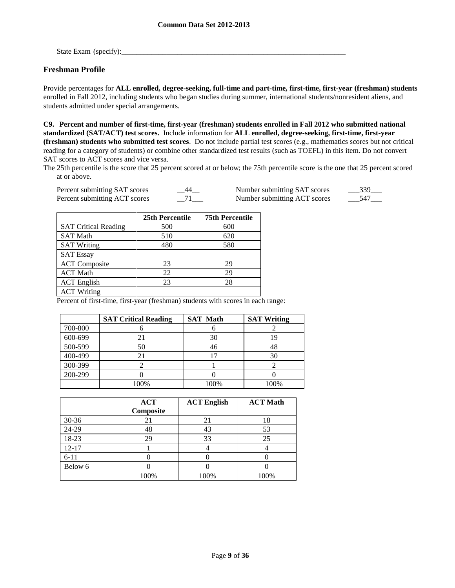State Exam (specify):\_\_\_\_\_\_\_\_\_\_\_\_\_\_\_\_\_\_\_\_\_\_\_\_\_\_\_\_\_\_\_\_\_\_\_\_\_\_\_\_\_\_\_\_\_\_\_\_\_\_\_\_\_\_\_\_\_\_\_\_

## **Freshman Profile**

Provide percentages for **ALL enrolled, degree-seeking, full-time and part-time, first-time, first-year (freshman) students**  enrolled in Fall 2012, including students who began studies during summer, international students/nonresident aliens, and students admitted under special arrangements.

**C9. Percent and number of first-time, first-year (freshman) students enrolled in Fall 2012 who submitted national standardized (SAT/ACT) test scores.** Include information for **ALL enrolled, degree-seeking, first-time, first-year (freshman) students who submitted test scores**. Do not include partial test scores (e.g., mathematics scores but not critical reading for a category of students) or combine other standardized test results (such as TOEFL) in this item. Do not convert SAT scores to ACT scores and vice versa.

The 25th percentile is the score that 25 percent scored at or below; the 75th percentile score is the one that 25 percent scored at or above.

| Percent submitting SAT scores | 44 | Number submitting SAT scores |  |
|-------------------------------|----|------------------------------|--|
| Percent submitting ACT scores |    | Number submitting ACT scores |  |

|                             | 25th Percentile | <b>75th Percentile</b> |
|-----------------------------|-----------------|------------------------|
| <b>SAT Critical Reading</b> | 500             | 600                    |
| <b>SAT Math</b>             | 510             | 620                    |
| <b>SAT Writing</b>          | 480             | 580                    |
| <b>SAT Essay</b>            |                 |                        |
| <b>ACT</b> Composite        | 23              | 29                     |
| <b>ACT Math</b>             | 22              | 29                     |
| <b>ACT</b> English          | 23              | 28                     |
| <b>ACT Writing</b>          |                 |                        |

Percent of first-time, first-year (freshman) students with scores in each range:

|         | <b>SAT Critical Reading</b> | <b>SAT Math</b> | <b>SAT Writing</b> |
|---------|-----------------------------|-----------------|--------------------|
| 700-800 |                             |                 |                    |
| 600-699 |                             | 30              |                    |
| 500-599 | 50                          | 46              | 48                 |
| 400-499 | 21                          |                 | 30                 |
| 300-399 |                             |                 |                    |
| 200-299 |                             |                 |                    |
|         | 100%                        | 100%            | 100%               |

|           | <b>ACT</b><br>Composite | <b>ACT English</b> | <b>ACT Math</b> |
|-----------|-------------------------|--------------------|-----------------|
| $30 - 36$ | 21                      | 21                 | 18              |
| 24-29     | 48                      | 43                 | 53              |
| 18-23     | 29                      | 33                 | 25              |
| $12 - 17$ |                         |                    |                 |
| $6 - 11$  |                         |                    |                 |
| Below 6   |                         |                    |                 |
|           | 100%                    | 100%               | 100%            |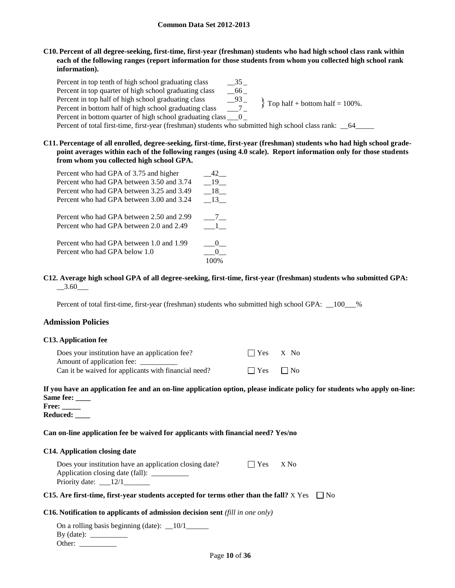## **C10. Percent of all degree-seeking, first-time, first-year (freshman) students who had high school class rank within each of the following ranges (report information for those students from whom you collected high school rank information).**

Percent in top tenth of high school graduating class \_\_\_\_\_\_\_\_\_\_\_\_\_\_\_\_\_\_\_\_\_\_\_\_\_\_\_\_ Percent in top quarter of high school graduating class \_\_66 \_ Percent in top half of high school graduating class \_\_93 \_\_<br>Percent in bottom half of high school graduating class \_\_\_\_\_\_7\_ Percent in bottom half of high school graduating class Percent in bottom quarter of high school graduating class \_\_\_0 \_ Percent of total first-time, first-year (freshman) students who submitted high school class rank:  $-64$  $\}$  Top half + bottom half = 100%.

**C11. Percentage of all enrolled, degree-seeking, first-time, first-year (freshman) students who had high school gradepoint averages within each of the following ranges (using 4.0 scale). Report information only for those students from whom you collected high school GPA.**

| Percent who had GPA of 3.75 and higher    |       |
|-------------------------------------------|-------|
| Percent who had GPA between 3.50 and 3.74 | 19    |
| Percent who had GPA between 3.25 and 3.49 | 18    |
| Percent who had GPA between 3.00 and 3.24 | 13    |
| Percent who had GPA between 2.50 and 2.99 | $7 -$ |
| Percent who had GPA between 2.0 and 2.49  |       |
| Percent who had GPA between 1.0 and 1.99  |       |
| Percent who had GPA below 1.0             |       |
|                                           |       |

### **C12. Average high school GPA of all degree-seeking, first-time, first-year (freshman) students who submitted GPA:**  $-3.60$

Percent of total first-time, first-year (freshman) students who submitted high school GPA:  $\_\_100\_\_%$ 

## **Admission Policies**

#### **C13. Application fee**

| Does your institution have an application fee?       | $\Box$ Yes $X$ No    |  |
|------------------------------------------------------|----------------------|--|
| Amount of application fee:                           |                      |  |
| Can it be waived for applicants with financial need? | $\Box$ Yes $\Box$ No |  |

## **If you have an application fee and an on-line application option, please indicate policy for students who apply on-line: Same fee: \_\_\_\_**

**Free: \_\_\_\_\_ Reduced: \_\_\_\_**

## **Can on-line application fee be waived for applicants with financial need? Yes/no**

#### **C14. Application closing date**

| Does your institution have an application closing date?                           | $\blacksquare$ $\blacksquare$ $\mathbf{Yes}$ $\blacksquare$ $\mathbf{XNo}$ |  |
|-----------------------------------------------------------------------------------|----------------------------------------------------------------------------|--|
| Application closing date (fall):                                                  |                                                                            |  |
| Priority date: $\frac{12}{1}$                                                     |                                                                            |  |
| Ang Carl Carl Carl moon stadents opposited for tening others than the CellO V Ver |                                                                            |  |

## **C15.** Are first-time, first-year students accepted for terms other than the fall?  $X$  Yes  $\Box$  No

#### **C16. Notification to applicants of admission decision sent** *(fill in one only)*

| On a rolling basis beginning (date): $\_\$ 10/1 |
|-------------------------------------------------|
| $By$ (date):                                    |
| Other:                                          |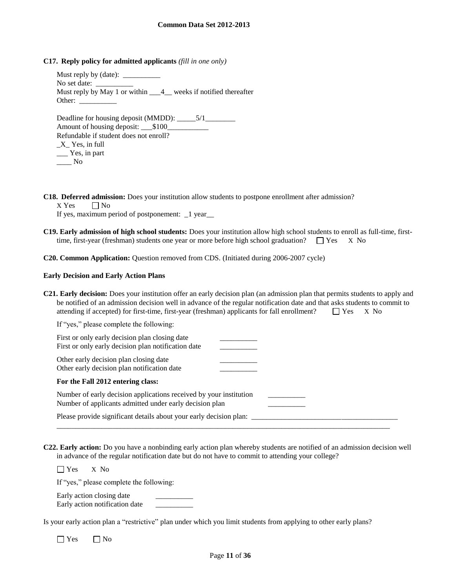**C17. Reply policy for admitted applicants** *(fill in one only)*

Must reply by (date):  $\overline{\phantom{a}}$ No set date: Must reply by May 1 or within \_\_\_4\_ weeks if notified thereafter Other: Deadline for housing deposit (MMDD): \_\_\_\_\_5/1\_\_\_\_\_ Amount of housing deposit: \_\_\_\$100\_\_\_\_\_\_\_\_\_\_\_ Refundable if student does not enroll? \_X\_ Yes, in full

| $\Lambda$ res, in Tuit |  |
|------------------------|--|
| Yes, in part           |  |
| No                     |  |

**C18. Deferred admission:** Does your institution allow students to postpone enrollment after admission?

 $X$  Yes  $\Box$  No

If yes, maximum period of postponement: \_1 year\_\_

**C19. Early admission of high school students:** Does your institution allow high school students to enroll as full-time, firsttime, first-year (freshman) students one year or more before high school graduation?  $\Box$  Yes X No

**C20. Common Application:** Question removed from CDS. (Initiated during 2006-2007 cycle)

#### **Early Decision and Early Action Plans**

| <b>C21. Early decision:</b> Does your institution offer an early decision plan (an admission plan that permits students to apply and |                 |
|--------------------------------------------------------------------------------------------------------------------------------------|-----------------|
| be notified of an admission decision well in advance of the regular notification date and that asks students to commit to            |                 |
| attending if accepted) for first-time, first-year (freshman) applicants for fall enrollment?                                         | $\Box$ Yes X No |

| If "yes," please complete the following:                                                              |  |
|-------------------------------------------------------------------------------------------------------|--|
| First or only early decision plan closing date<br>First or only early decision plan notification date |  |
| Other early decision plan closing date<br>Other early decision plan notification date                 |  |

|  |  |  |  | For the Fall 2012 entering class: |  |
|--|--|--|--|-----------------------------------|--|
|--|--|--|--|-----------------------------------|--|

| Number of early decision applications received by your institution<br>Number of applicants admitted under early decision plan |  |
|-------------------------------------------------------------------------------------------------------------------------------|--|
| Please provide significant details about your early decision plan:                                                            |  |

\_\_\_\_\_\_\_\_\_\_\_\_\_\_\_\_\_\_\_\_\_\_\_\_\_\_\_\_\_\_\_\_\_\_\_\_\_\_\_\_\_\_\_\_\_\_\_\_\_\_\_\_\_\_\_\_\_\_\_\_\_\_\_\_\_\_\_\_\_\_\_\_\_\_\_\_\_\_\_\_\_\_\_\_\_\_\_\_\_

**C22. Early action:** Do you have a nonbinding early action plan whereby students are notified of an admission decision well in advance of the regular notification date but do not have to commit to attending your college?

Yes X No

If "yes," please complete the following:

Early action closing date Early action notification date \_\_\_\_\_\_\_\_\_\_

Is your early action plan a "restrictive" plan under which you limit students from applying to other early plans?

 $\Box$  Yes  $\Box$  No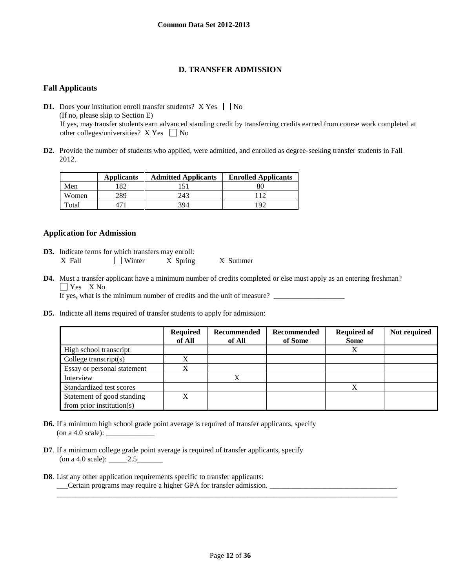# **D. TRANSFER ADMISSION**

# **Fall Applicants**

**D1.** Does your institution enroll transfer students?  $X$  Yes  $\Box$  No (If no, please skip to Section E) If yes, may transfer students earn advanced standing credit by transferring credits earned from course work completed at other colleges/universities?  $X$  Yes  $\Box$  No

**D2.** Provide the number of students who applied, were admitted, and enrolled as degree-seeking transfer students in Fall 2012.

|       | <b>Applicants</b> | <b>Admitted Applicants</b> | <b>Enrolled Applicants</b> |
|-------|-------------------|----------------------------|----------------------------|
| Men   |                   |                            |                            |
| Women | 289               | 243                        |                            |
| Total |                   | 394                        | 192                        |

## **Application for Admission**

- **D3.** Indicate terms for which transfers may enroll: X Fall  $\Box$  Winter X Spring X Summer
- **D4.** Must a transfer applicant have a minimum number of credits completed or else must apply as an entering freshman? **T** Yes X No

If yes, what is the minimum number of credits and the unit of measure?

**D5.** Indicate all items required of transfer students to apply for admission:

|                               | <b>Required</b><br>of All | Recommended<br>of All | <b>Recommended</b><br>of Some | <b>Required of</b><br><b>Some</b> | Not required |
|-------------------------------|---------------------------|-----------------------|-------------------------------|-----------------------------------|--------------|
| High school transcript        |                           |                       |                               | X                                 |              |
| College transcript $(s)$      | X                         |                       |                               |                                   |              |
| Essay or personal statement   | X                         |                       |                               |                                   |              |
| Interview                     |                           | v                     |                               |                                   |              |
| Standardized test scores      |                           |                       |                               | X                                 |              |
| Statement of good standing    | X                         |                       |                               |                                   |              |
| from prior institution( $s$ ) |                           |                       |                               |                                   |              |

- **D6.** If a minimum high school grade point average is required of transfer applicants, specify (on a 4.0 scale):  $\_\_$
- **D7**. If a minimum college grade point average is required of transfer applicants, specify (on a 4.0 scale): \_\_\_\_\_2.5\_\_\_\_\_\_\_
- **D8**. List any other application requirements specific to transfer applicants: \_\_\_Certain programs may require a higher GPA for transfer admission. \_\_\_\_\_\_\_\_\_\_\_\_\_\_\_\_\_\_\_\_\_\_\_\_\_\_\_\_\_\_\_\_\_\_

\_\_\_\_\_\_\_\_\_\_\_\_\_\_\_\_\_\_\_\_\_\_\_\_\_\_\_\_\_\_\_\_\_\_\_\_\_\_\_\_\_\_\_\_\_\_\_\_\_\_\_\_\_\_\_\_\_\_\_\_\_\_\_\_\_\_\_\_\_\_\_\_\_\_\_\_\_\_\_\_\_\_\_\_\_\_\_\_\_\_\_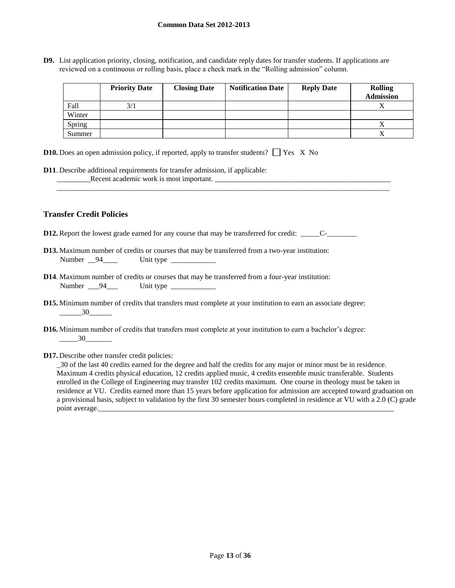**D9.** List application priority, closing, notification, and candidate reply dates for transfer students. If applications are reviewed on a continuous or rolling basis, place a check mark in the "Rolling admission" column.

|        | <b>Priority Date</b> | <b>Closing Date</b> | <b>Notification Date</b> | <b>Reply Date</b> | <b>Rolling</b><br><b>Admission</b> |
|--------|----------------------|---------------------|--------------------------|-------------------|------------------------------------|
| Fall   | 3/1                  |                     |                          |                   |                                    |
| Winter |                      |                     |                          |                   |                                    |
| Spring |                      |                     |                          |                   |                                    |
| Summer |                      |                     |                          |                   |                                    |

\_\_\_\_\_\_\_\_\_\_\_\_\_\_\_\_\_\_\_\_\_\_\_\_\_\_\_\_\_\_\_\_\_\_\_\_\_\_\_\_\_\_\_\_\_\_\_\_\_\_\_\_\_\_\_\_\_\_\_\_\_\_\_\_\_\_\_\_\_\_\_\_\_\_\_\_\_\_\_\_\_\_\_\_\_\_\_\_\_

| <b>D10.</b> Does an open admission policy, if reported, apply to transfer students? $\Box$ Yes X No |  |  |
|-----------------------------------------------------------------------------------------------------|--|--|
|-----------------------------------------------------------------------------------------------------|--|--|

**D11**. Describe additional requirements for transfer admission, if applicable: \_\_\_\_\_\_\_\_\_Recent academic work is most important. \_\_\_\_\_\_\_\_\_\_\_\_\_\_\_\_\_\_\_\_\_\_\_\_\_\_\_\_\_\_\_\_\_\_\_\_\_\_\_\_\_\_\_\_\_\_\_

## **Transfer Credit Policies**

- **D12.** Report the lowest grade earned for any course that may be transferred for credit: \_\_\_\_\_C-\_\_\_\_\_\_\_\_
- **D13.** Maximum number of credits or courses that may be transferred from a two-year institution: Number <u>94</u> Unit type
- **D14**. Maximum number of credits or courses that may be transferred from a four-year institution: Number \_\_\_94\_\_\_ Unit type \_\_\_\_\_\_\_\_\_\_\_\_
- **D15.** Minimum number of credits that transfers must complete at your institution to earn an associate degree:  $\frac{30}{2}$
- **D16.** Minimum number of credits that transfers must complete at your institution to earn a bachelor's degree: \_\_\_\_\_30\_\_\_\_\_\_\_
- **D17.** Describe other transfer credit policies:

\_30 of the last 40 credits earned for the degree and half the credits for any major or minor must be in residence. Maximum 4 credits physical education, 12 credits applied music, 4 credits ensemble music transferable. Students enrolled in the College of Engineering may transfer 102 credits maximum. One course in theology must be taken in residence at VU. Credits earned more than 15 years before application for admission are accepted toward graduation on a provisional basis, subject to validation by the first 30 semester hours completed in residence at VU with a 2.0 (C) grade point average.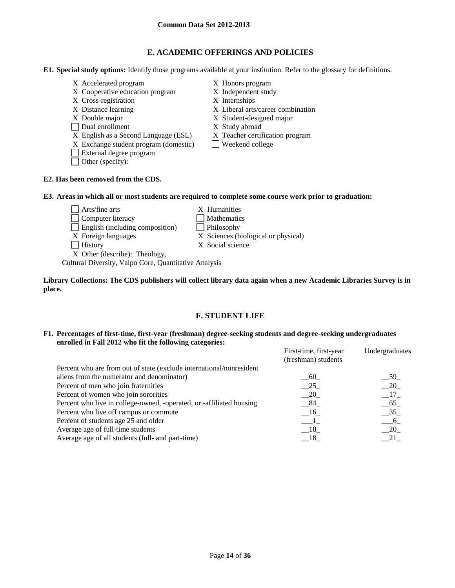# **E. ACADEMIC OFFERINGS AND POLICIES**

**E1. Special study options:** Identify those programs available at your institution. Refer to the glossary for definitions.

- X Accelerated program X Honors program
- X Cooperative education program X Independent study
- X Cross-registration X Internships
- 
- 
- Dual enrollment X Study abroad
- X English as a Second Language (ESL) X Teacher certification program
- $X$  Exchange student program (domestic) Weekend college
- External degree program
- Other (specify):

- 
- 
- X Distance learning X Liberal arts/career combination
- X Double major X Student-designed major
	-
	-
	-

## **E2. Has been removed from the CDS.**

## **E3. Areas in which all or most students are required to complete some course work prior to graduation:**

Arts/fine arts X Humanities Computer literacy Mathematics English (including composition) Philosophy X Foreign languages X Sciences (biological or physical) History X Social science X Other (describe): Theology,

Cultural Diversity, Valpo Core, Quantitative Analysis

## **Library Collections: The CDS publishers will collect library data again when a new Academic Libraries Survey is in place.**

# **F. STUDENT LIFE**

### **F1. Percentages of first-time, first-year (freshman) degree-seeking students and degree-seeking undergraduates enrolled in Fall 2012 who fit the following categories:**

|                                                                      | First-time, first-year<br>(freshman) students | Undergraduates |
|----------------------------------------------------------------------|-----------------------------------------------|----------------|
| Percent who are from out of state (exclude international/nonresident |                                               |                |
| aliens from the numerator and denominator)                           | 60                                            | 59             |
| Percent of men who join fraternities                                 | $-25$                                         | 20             |
| Percent of women who join sororities                                 | $-20$                                         | $-17$          |
| Percent who live in college-owned, -operated, or -affiliated housing | $-84$                                         | $-65$          |
| Percent who live off campus or commute                               | $-16$                                         | $-35$          |
| Percent of students age 25 and older                                 |                                               | 6              |
| Average age of full-time students                                    | $-18$                                         | 20             |
| Average age of all students (full- and part-time)                    | - 18                                          | 21             |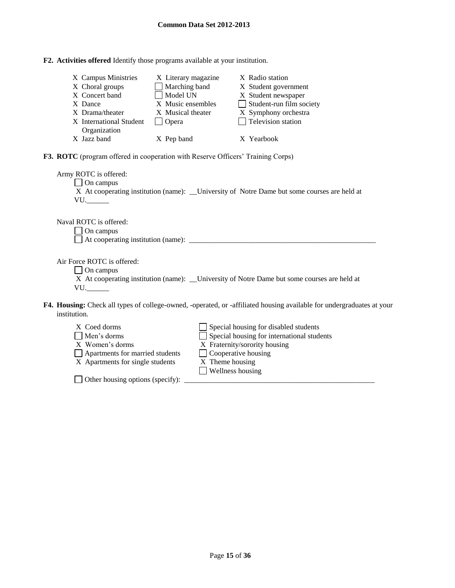| F2. Activities offered Identify those programs available at your institution. |
|-------------------------------------------------------------------------------|
|-------------------------------------------------------------------------------|

| X Campus Ministries<br>X Choral groups<br>X Concert band<br>X Dance<br>X Drama/theater<br>X International Student<br>Organization<br>X Jazz band | X Literary magazine<br>Marching band<br>Model UN<br>X Music ensembles<br>X Musical theater<br>$\Box$ Opera<br>X Pep band | X Radio station<br>X Student government<br>X Student newspaper<br>$\Box$ Student-run film society<br>X Symphony orchestra<br>$\Box$ Television station<br>X Yearbook  |  |
|--------------------------------------------------------------------------------------------------------------------------------------------------|--------------------------------------------------------------------------------------------------------------------------|-----------------------------------------------------------------------------------------------------------------------------------------------------------------------|--|
| F3. ROTC (program offered in cooperation with Reserve Officers' Training Corps)                                                                  |                                                                                                                          |                                                                                                                                                                       |  |
| Army ROTC is offered:<br>$\Box$ On campus<br>$VU$ .                                                                                              |                                                                                                                          | X At cooperating institution (name): __University of Notre Dame but some courses are held at                                                                          |  |
| Naval ROTC is offered:<br>On campus<br>$\blacksquare$                                                                                            |                                                                                                                          |                                                                                                                                                                       |  |
| Air Force ROTC is offered:<br>$\Box$ On campus<br>$VU$ .                                                                                         |                                                                                                                          | X At cooperating institution (name): _____University of Notre Dame but some courses are held at                                                                       |  |
| institution.                                                                                                                                     |                                                                                                                          | F4. Housing: Check all types of college-owned, -operated, or -affiliated housing available for undergraduates at your                                                 |  |
| X Coed dorms<br>Men's dorms<br>X Women's dorms<br>Apartments for married students<br>X Apartments for single students                            |                                                                                                                          | Special housing for disabled students<br>Special housing for international students<br>X Fraternity/sorority housing<br>$\Box$ Cooperative housing<br>X Theme housing |  |

 $X$  Theme housing<br> $\Box$  Wellness housing

 $\Box$  Other housing options (specify):  $\Box$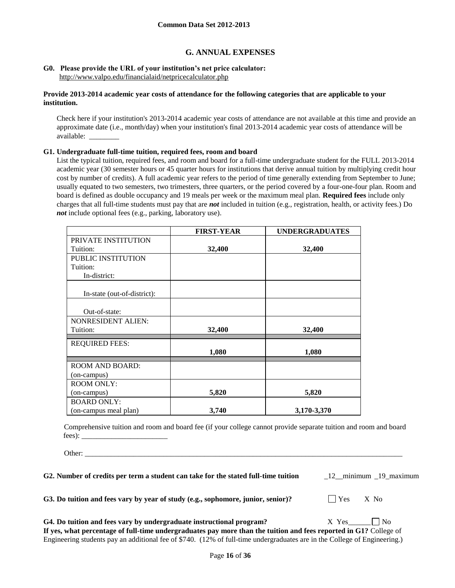# **G. ANNUAL EXPENSES**

#### **G0. Please provide the URL of your institution's net price calculator:** <http://www.valpo.edu/financialaid/netpricecalculator.php>

### **Provide 2013-2014 academic year costs of attendance for the following categories that are applicable to your institution.**

Check here if your institution's 2013-2014 academic year costs of attendance are not available at this time and provide an approximate date (i.e., month/day) when your institution's final 2013-2014 academic year costs of attendance will be available: \_\_\_\_\_\_\_\_

#### **G1. Undergraduate full-time tuition, required fees, room and board**

List the typical tuition, required fees, and room and board for a full-time undergraduate student for the FULL 2013-2014 academic year (30 semester hours or 45 quarter hours for institutions that derive annual tuition by multiplying credit hour cost by number of credits). A full academic year refers to the period of time generally extending from September to June; usually equated to two semesters, two trimesters, three quarters, or the period covered by a four-one-four plan. Room and board is defined as double occupancy and 19 meals per week or the maximum meal plan. **Required fees** include only charges that all full-time students must pay that are *not* included in tuition (e.g., registration, health, or activity fees.) Do *not* include optional fees (e.g., parking, laboratory use).

|                             | <b>FIRST-YEAR</b> | <b>UNDERGRADUATES</b> |
|-----------------------------|-------------------|-----------------------|
| PRIVATE INSTITUTION         |                   |                       |
| Tuition:                    | 32,400            | 32,400                |
| PUBLIC INSTITUTION          |                   |                       |
| Tuition:                    |                   |                       |
| In-district:                |                   |                       |
| In-state (out-of-district): |                   |                       |
| Out-of-state:               |                   |                       |
| NONRESIDENT ALIEN:          |                   |                       |
| Tuition:                    | 32,400            | 32,400                |
| <b>REQUIRED FEES:</b>       |                   |                       |
|                             | 1,080             | 1,080                 |
| <b>ROOM AND BOARD:</b>      |                   |                       |
| (on-campus)                 |                   |                       |
| <b>ROOM ONLY:</b>           |                   |                       |
| (on-campus)                 | 5,820             | 5,820                 |
| <b>BOARD ONLY:</b>          |                   |                       |
| (on-campus meal plan)       | 3,740             | 3,170-3,370           |

Comprehensive tuition and room and board fee (if your college cannot provide separate tuition and room and board fees): \_\_\_\_\_\_\_\_\_\_\_\_\_\_\_\_\_\_\_\_\_\_\_

Other: \_\_\_\_\_\_\_\_\_\_\_\_\_\_\_\_\_\_\_\_\_\_\_\_\_\_\_\_\_\_\_\_\_\_\_\_\_\_\_\_\_\_\_\_\_\_\_\_\_\_\_\_\_\_\_\_\_\_\_\_\_\_\_\_\_\_\_\_\_\_\_\_\_\_\_\_\_\_\_\_\_\_\_\_\_

**G2. Number of credits per term a student can take for the stated full-time tuition** \_12\_\_minimum \_19\_maximum

G3. Do tuition and fees vary by year of study (e.g., sophomore, junior, senior)?  $\Box$  Yes X No

G4. Do tuition and fees vary by undergraduate instructional program?  $X$  Yes **If yes, what percentage of full-time undergraduates pay more than the tuition and fees reported in G1?** College of Engineering students pay an additional fee of \$740. (12% of full-time undergraduates are in the College of Engineering.)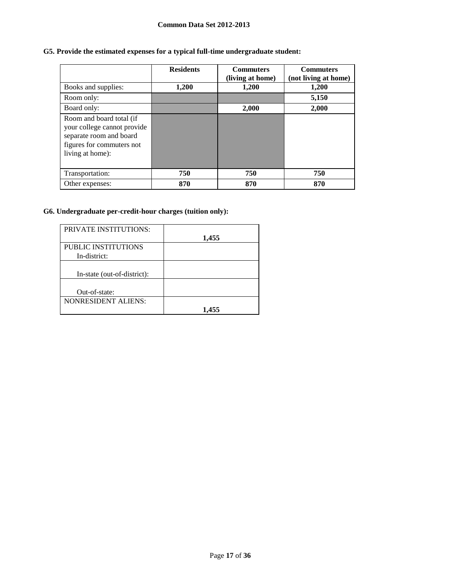# **G5. Provide the estimated expenses for a typical full-time undergraduate student:**

|                                                                                                                                     | <b>Residents</b> | <b>Commuters</b><br>(living at home) | <b>Commuters</b><br>(not living at home) |
|-------------------------------------------------------------------------------------------------------------------------------------|------------------|--------------------------------------|------------------------------------------|
| Books and supplies:                                                                                                                 | 1,200            | 1,200                                | 1,200                                    |
| Room only:                                                                                                                          |                  |                                      | 5,150                                    |
| Board only:                                                                                                                         |                  | 2,000                                | 2,000                                    |
| Room and board total (if<br>your college cannot provide<br>separate room and board<br>figures for commuters not<br>living at home): |                  |                                      |                                          |
| Transportation:                                                                                                                     | 750              | 750                                  | 750                                      |
| Other expenses:                                                                                                                     | 870              | 870                                  | 870                                      |

# **G6. Undergraduate per-credit-hour charges (tuition only):**

| <b>PRIVATE INSTITUTIONS:</b>        | 1,455 |
|-------------------------------------|-------|
| PUBLIC INSTITUTIONS<br>In-district: |       |
| In-state (out-of-district):         |       |
| Out-of-state:                       |       |
| <b>NONRESIDENT ALIENS:</b>          |       |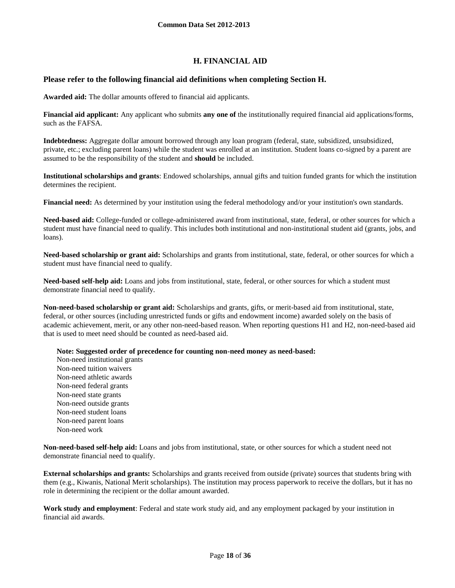# **H. FINANCIAL AID**

## **Please refer to the following financial aid definitions when completing Section H.**

**Awarded aid:** The dollar amounts offered to financial aid applicants.

**Financial aid applicant:** Any applicant who submits **any one of** the institutionally required financial aid applications/forms, such as the FAFSA.

**Indebtedness:** Aggregate dollar amount borrowed through any loan program (federal, state, subsidized, unsubsidized, private, etc.; excluding parent loans) while the student was enrolled at an institution. Student loans co-signed by a parent are assumed to be the responsibility of the student and **should** be included.

**Institutional scholarships and grants**: Endowed scholarships, annual gifts and tuition funded grants for which the institution determines the recipient.

**Financial need:** As determined by your institution using the federal methodology and/or your institution's own standards.

**Need-based aid:** College-funded or college-administered award from institutional, state, federal, or other sources for which a student must have financial need to qualify. This includes both institutional and non-institutional student aid (grants, jobs, and loans).

**Need-based scholarship or grant aid:** Scholarships and grants from institutional, state, federal, or other sources for which a student must have financial need to qualify.

**Need-based self-help aid:** Loans and jobs from institutional, state, federal, or other sources for which a student must demonstrate financial need to qualify.

**Non-need-based scholarship or grant aid:** Scholarships and grants, gifts, or merit-based aid from institutional, state, federal, or other sources (including unrestricted funds or gifts and endowment income) awarded solely on the basis of academic achievement, merit, or any other non-need-based reason. When reporting questions H1 and H2, non-need-based aid that is used to meet need should be counted as need-based aid.

**Note: Suggested order of precedence for counting non-need money as need-based:**

Non-need institutional grants Non-need tuition waivers Non-need athletic awards Non-need federal grants Non-need state grants Non-need outside grants Non-need student loans Non-need parent loans Non-need work

**Non-need-based self-help aid:** Loans and jobs from institutional, state, or other sources for which a student need not demonstrate financial need to qualify.

**External scholarships and grants:** Scholarships and grants received from outside (private) sources that students bring with them (e.g., Kiwanis, National Merit scholarships). The institution may process paperwork to receive the dollars, but it has no role in determining the recipient or the dollar amount awarded.

**Work study and employment**: Federal and state work study aid, and any employment packaged by your institution in financial aid awards.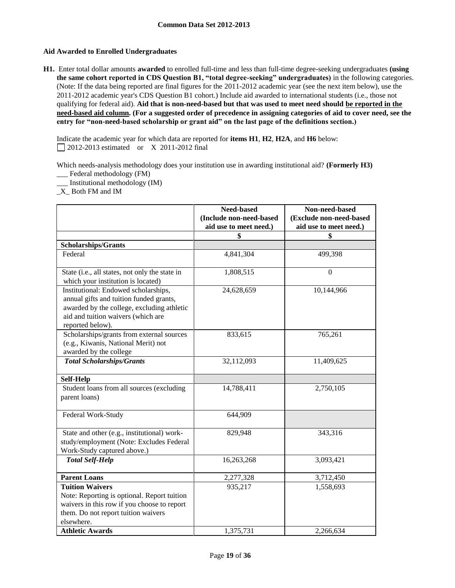## **Aid Awarded to Enrolled Undergraduates**

**H1.** Enter total dollar amounts **awarded** to enrolled full-time and less than full-time degree-seeking undergraduates **(using the same cohort reported in CDS Question B1, "total degree-seeking" undergraduates)** in the following categories. (Note: If the data being reported are final figures for the 2011-2012 academic year (see the next item below), use the 2011-2012 academic year's CDS Question B1 cohort.) Include aid awarded to international students (i.e., those not qualifying for federal aid). **Aid that is non-need-based but that was used to meet need should be reported in the need-based aid column. (For a suggested order of precedence in assigning categories of aid to cover need, see the entry for "non-need-based scholarship or grant aid" on the last page of the definitions section.)**

Indicate the academic year for which data are reported for **items H1**, **H2**, **H2A**, and **H6** below: 2012-2013 estimated or X 2011-2012 final

Which needs-analysis methodology does your institution use in awarding institutional aid? **(Formerly H3)** \_\_\_ Federal methodology (FM)

\_\_\_ Institutional methodology (IM)

\_X\_ Both FM and IM

|                                                                                                                                                                                         | Need-based<br>(Include non-need-based<br>aid use to meet need.) | Non-need-based<br>(Exclude non-need-based<br>aid use to meet need.) |
|-----------------------------------------------------------------------------------------------------------------------------------------------------------------------------------------|-----------------------------------------------------------------|---------------------------------------------------------------------|
|                                                                                                                                                                                         | \$                                                              | \$                                                                  |
| <b>Scholarships/Grants</b>                                                                                                                                                              |                                                                 |                                                                     |
| Federal                                                                                                                                                                                 | 4,841,304                                                       | 499,398                                                             |
| State (i.e., all states, not only the state in<br>which your institution is located)                                                                                                    | 1,808,515                                                       | $\theta$                                                            |
| Institutional: Endowed scholarships,<br>annual gifts and tuition funded grants,<br>awarded by the college, excluding athletic<br>aid and tuition waivers (which are<br>reported below). | 24,628,659                                                      | 10,144,966                                                          |
| Scholarships/grants from external sources<br>(e.g., Kiwanis, National Merit) not<br>awarded by the college                                                                              | 833,615                                                         | 765,261                                                             |
| <b>Total Scholarships/Grants</b>                                                                                                                                                        | 32,112,093                                                      | 11,409,625                                                          |
| <b>Self-Help</b>                                                                                                                                                                        |                                                                 |                                                                     |
| Student loans from all sources (excluding<br>parent loans)                                                                                                                              | 14,788,411                                                      | 2,750,105                                                           |
| Federal Work-Study                                                                                                                                                                      | 644,909                                                         |                                                                     |
| State and other (e.g., institutional) work-<br>study/employment (Note: Excludes Federal<br>Work-Study captured above.)                                                                  | 829,948                                                         | 343,316                                                             |
| <b>Total Self-Help</b>                                                                                                                                                                  | 16,263,268                                                      | 3,093,421                                                           |
| <b>Parent Loans</b>                                                                                                                                                                     | 2,277,328                                                       | 3,712,450                                                           |
| <b>Tuition Waivers</b><br>Note: Reporting is optional. Report tuition<br>waivers in this row if you choose to report<br>them. Do not report tuition waivers<br>elsewhere.               | 935,217                                                         | 1,558,693                                                           |
| <b>Athletic Awards</b>                                                                                                                                                                  | 1,375,731                                                       | 2,266,634                                                           |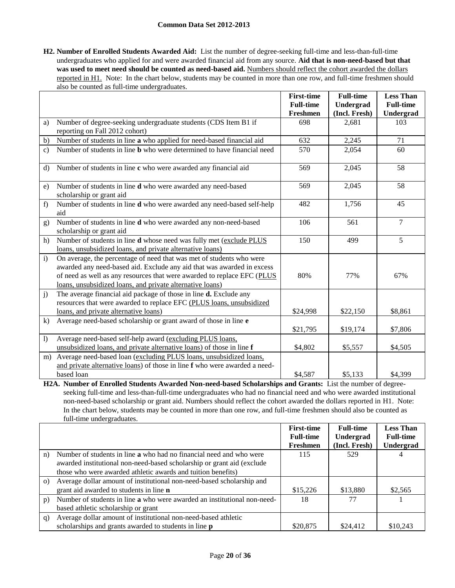**H2. Number of Enrolled Students Awarded Aid:** List the number of degree-seeking full-time and less-than-full-time undergraduates who applied for and were awarded financial aid from any source. **Aid that is non-need-based but that**  was used to meet need should be counted as need-based aid. Numbers should reflect the cohort awarded the dollars reported in H1. Note: In the chart below, students may be counted in more than one row, and full-time freshmen should also be counted as full-time undergraduates.

|               |                                                                                | <b>First-time</b> | <b>Full-time</b> | <b>Less Than</b> |
|---------------|--------------------------------------------------------------------------------|-------------------|------------------|------------------|
|               |                                                                                | <b>Full-time</b>  | Undergrad        | <b>Full-time</b> |
|               |                                                                                | Freshmen          | (Incl. Fresh)    | Undergrad        |
| a)            | Number of degree-seeking undergraduate students (CDS Item B1 if                | 698               | 2,681            | 103              |
|               | reporting on Fall 2012 cohort)                                                 |                   |                  |                  |
| b)            | Number of students in line a who applied for need-based financial aid          | 632               | 2,245            | 71               |
| $\mathbf{c})$ | Number of students in line <b>b</b> who were determined to have financial need | 570               | 2,054            | 60               |
|               |                                                                                |                   |                  |                  |
| $\mathbf{d}$  | Number of students in line c who were awarded any financial aid                | 569               | 2,045            | 58               |
|               |                                                                                |                   |                  |                  |
| e)            | Number of students in line d who were awarded any need-based                   | 569               | 2,045            | 58               |
|               | scholarship or grant aid                                                       |                   |                  |                  |
| f)            | Number of students in line d who were awarded any need-based self-help         | 482               | 1,756            | 45               |
|               | aid                                                                            |                   |                  |                  |
| g)            | Number of students in line d who were awarded any non-need-based               | 106               | 561              | $\overline{7}$   |
|               | scholarship or grant aid                                                       |                   |                  |                  |
| h)            | Number of students in line d whose need was fully met (exclude PLUS            | 150               | 499              | 5                |
|               | loans, unsubsidized loans, and private alternative loans)                      |                   |                  |                  |
| $\mathbf{i}$  | On average, the percentage of need that was met of students who were           |                   |                  |                  |
|               | awarded any need-based aid. Exclude any aid that was awarded in excess         |                   |                  |                  |
|               | of need as well as any resources that were awarded to replace EFC (PLUS        | 80%               | 77%              | 67%              |
|               | loans, unsubsidized loans, and private alternative loans)                      |                   |                  |                  |
| j)            | The average financial aid package of those in line <b>d.</b> Exclude any       |                   |                  |                  |
|               | resources that were awarded to replace EFC (PLUS loans, unsubsidized           |                   |                  |                  |
|               | loans, and private alternative loans)                                          | \$24,998          | \$22,150         | \$8,861          |
| k)            | Average need-based scholarship or grant award of those in line e               |                   |                  |                  |
|               |                                                                                | \$21,795          | \$19,174         | \$7,806          |
| 1)            | Average need-based self-help award (excluding PLUS loans,                      |                   |                  |                  |
|               | unsubsidized loans, and private alternative loans) of those in line f          | \$4,802           | \$5,557          | \$4,505          |
| m)            | Average need-based loan (excluding PLUS loans, unsubsidized loans,             |                   |                  |                  |
|               | and private alternative loans) of those in line f who were awarded a need-     |                   |                  |                  |
|               | based loan                                                                     | \$4,587           | \$5,133          | \$4,399          |

**H2A. Number of Enrolled Students Awarded Non-need-based Scholarships and Grants:** List the number of degreeseeking full-time and less-than-full-time undergraduates who had no financial need and who were awarded institutional non-need-based scholarship or grant aid. Numbers should reflect the cohort awarded the dollars reported in H1. Note: In the chart below, students may be counted in more than one row, and full-time freshmen should also be counted as full-time undergraduates.

|          |                                                                            | <b>First-time</b> | <b>Full-time</b> | <b>Less Than</b> |
|----------|----------------------------------------------------------------------------|-------------------|------------------|------------------|
|          |                                                                            | <b>Full-time</b>  | Undergrad        | <b>Full-time</b> |
|          |                                                                            | Freshmen          | (Incl. Fresh)    | <b>Undergrad</b> |
| n)       | Number of students in line <b>a</b> who had no financial need and who were | 115               | 529              |                  |
|          | awarded institutional non-need-based scholarship or grant aid (exclude     |                   |                  |                  |
|          | those who were awarded athletic awards and tuition benefits)               |                   |                  |                  |
| $\Omega$ | Average dollar amount of institutional non-need-based scholarship and      |                   |                  |                  |
|          | grant aid awarded to students in line <b>n</b>                             | \$15,226          | \$13,880         | \$2,565          |
| p)       | Number of students in line a who were awarded an institutional non-need-   | 18                | 77               |                  |
|          | based athletic scholarship or grant                                        |                   |                  |                  |
| q)       | Average dollar amount of institutional non-need-based athletic             |                   |                  |                  |
|          | scholarships and grants awarded to students in line <b>p</b>               | \$20,875          | \$24,412         | \$10,243         |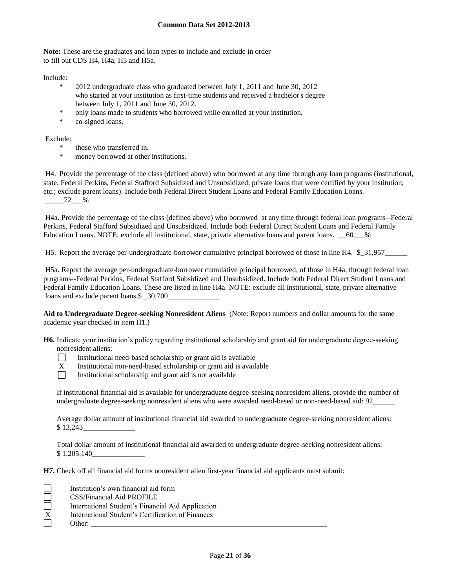**Note:** These are the graduates and loan types to include and exclude in order to fill out CDS H4, H4a, H5 and H5a.

Include:

- \* 2012 undergraduate class who graduated between July 1, 2011 and June 30, 2012 who started at your institution as first-time students and received a bachelor's degree between July 1, 2011 and June 30, 2012.
- \* only loans made to students who borrowed while enrolled at your institution.
- \* co-signed loans.

Exclude:

- \* those who transferred in.
- money borrowed at other institutions.

H4. Provide the percentage of the class (defined above) who borrowed at any time through any loan programs (institutional, state, Federal Perkins, Federal Stafford Subsidized and Unsubsidized, private loans that were certified by your institution, etc.; exclude parent loans). Include both Federal Direct Student Loans and Federal Family Education Loans.  $-$  72  $\frac{9}{6}$ 

H4a. Provide the percentage of the class (defined above) who borrowed at any time through federal loan programs--Federal Perkins, Federal Stafford Subsidized and Unsubsidized. Include both Federal Direct Student Loans and Federal Family Education Loans. NOTE: exclude all institutional, state, private alternative loans and parent loans.  $\, 60\quad \, \%$ 

H5. Report the average per-undergraduate-borrower cumulative principal borrowed of those in line H4. \$21,957

H5a. Report the average per-undergraduate-borrower cumulative principal borrowed, of those in H4a, through federal loan programs--Federal Perkins, Federal Stafford Subsidized and Unsubsidized. Include both Federal Direct Student Loans and Federal Family Education Loans. These are listed in line H4a. NOTE: exclude all institutional, state, private alternative loans and exclude parent loans. \$  $30,700$ 

**Aid to Undergraduate Degree-seeking Nonresident Aliens** (Note: Report numbers and dollar amounts for the same academic year checked in item H1.)

**H6.** Indicate your institution's policy regarding institutional scholarship and grant aid for undergraduate degree-seeking nonresident aliens:

- $\Box$ Institutional need-based scholarship or grant aid is available
- X Institutional non-need-based scholarship or grant aid is available
- $\Box$ Institutional scholarship and grant aid is not available

If institutional financial aid is available for undergraduate degree-seeking nonresident aliens, provide the number of undergraduate degree-seeking nonresident aliens who were awarded need-based or non-need-based aid: 92\_\_\_\_\_\_

Average dollar amount of institutional financial aid awarded to undergraduate degree-seeking nonresident aliens: \$13,243

Total dollar amount of institutional financial aid awarded to undergraduate degree-seeking nonresident aliens: \$1,205,140

**H7.** Check off all financial aid forms nonresident alien first-year financial aid applicants must submit:

|                  | Institution's own financial aid form              |
|------------------|---------------------------------------------------|
|                  | CSS/Financial Aid PROFILE                         |
|                  | International Student's Financial Aid Application |
| $\boldsymbol{X}$ | International Student's Certification of Finances |
|                  | Other:                                            |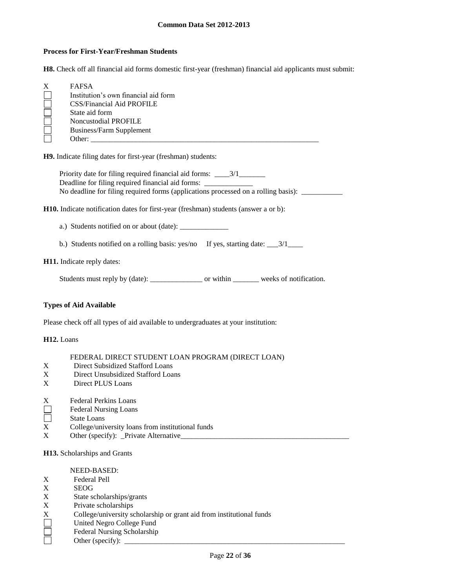#### **Process for First-Year/Freshman Students**

**H8.** Check off all financial aid forms domestic first-year (freshman) financial aid applicants must submit:

| X | <b>FAFSA</b>                         |
|---|--------------------------------------|
|   | Institution's own financial aid form |
|   | CSS/Financial Aid PROFILE            |
|   | State aid form                       |
|   | Noncustodial PROFILE                 |
|   | <b>Business/Farm Supplement</b>      |
|   | Other:                               |

**H9.** Indicate filing dates for first-year (freshman) students:

Priority date for filing required financial aid forms: \_\_\_\_3/1\_\_\_\_\_\_\_\_\_\_\_\_\_\_\_\_\_\_\_ Deadline for filing required financial aid forms: \_\_\_\_\_\_\_\_\_\_\_\_\_\_\_\_\_\_\_\_\_\_\_\_\_\_\_\_\_\_\_ No deadline for filing required forms (applications processed on a rolling basis): \_\_\_\_\_\_\_\_\_\_\_\_\_\_\_\_

**H10.** Indicate notification dates for first-year (freshman) students (answer a or b):

a.) Students notified on or about (date): \_\_\_\_\_\_\_\_\_\_\_\_\_

b.) Students notified on a rolling basis: yes/no If yes, starting date: \_\_\_3/1\_\_\_

## **H11.** Indicate reply dates:

Students must reply by (date): \_\_\_\_\_\_\_\_\_\_\_\_\_\_\_\_\_\_ or within \_\_\_\_\_\_\_\_\_ weeks of notification.

## **Types of Aid Available**

Please check off all types of aid available to undergraduates at your institution:

## **H12.** Loans

## FEDERAL DIRECT STUDENT LOAN PROGRAM (DIRECT LOAN)

- X Direct Subsidized Stafford Loans
- X Direct Unsubsidized Stafford Loans
- X Direct PLUS Loans
- X Federal Perkins Loans
- $\Box$ Federal Nursing Loans
- $\Box$ State Loans
- X College/university loans from institutional funds
- X Other (specify): \_Private Alternative\_\_\_\_\_\_\_\_\_\_\_\_\_\_\_\_\_\_\_\_\_\_\_\_\_\_\_\_\_\_\_\_\_\_\_\_\_\_\_\_\_\_\_\_\_

**H13.** Scholarships and Grants

#### NEED-BASED:

- X Federal Pell
- X SEOG
- X State scholarships/grants<br>X Private scholarships
- 
- X Private scholarships<br>
X College/university so<br>
United Negro College<br>
Federal Nursing Sch College/university scholarship or grant aid from institutional funds
- United Negro College Fund
- Federal Nursing Scholarship
	- Other (specify):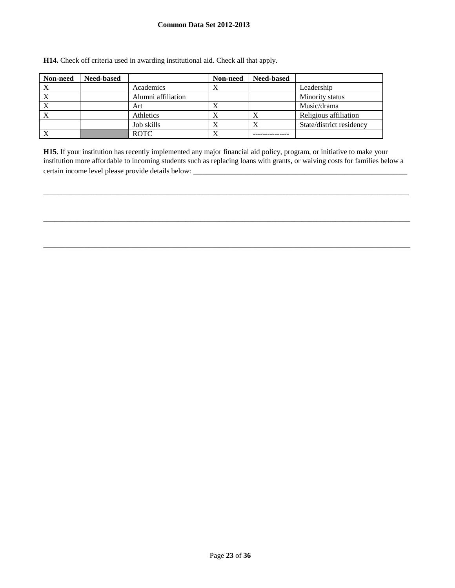| Non-need | <b>Need-based</b> |                    | Non-need  | <b>Need-based</b> |                          |
|----------|-------------------|--------------------|-----------|-------------------|--------------------------|
| X        |                   | Academics          | $\Lambda$ |                   | Leadership               |
|          |                   | Alumni affiliation |           |                   | Minority status          |
|          |                   | Art                |           |                   | Music/drama              |
|          |                   | Athletics          |           |                   | Religious affiliation    |
|          |                   | Job skills         |           | $\Lambda$         | State/district residency |
|          |                   | <b>ROTC</b>        |           |                   |                          |

**H14.** Check off criteria used in awarding institutional aid. Check all that apply.

**H15**. If your institution has recently implemented any major financial aid policy, program, or initiative to make your institution more affordable to incoming students such as replacing loans with grants, or waiving costs for families below a certain income level please provide details below: \_\_\_\_\_\_\_\_\_\_\_\_\_\_\_\_\_\_\_\_\_\_\_\_\_\_\_\_\_\_

\_\_\_\_\_\_\_\_\_\_\_\_\_\_\_\_\_\_\_\_\_\_\_\_\_\_\_\_\_\_\_\_\_\_\_\_\_\_\_\_\_\_\_\_\_\_\_\_\_\_\_\_\_\_\_\_\_\_\_\_\_\_\_\_\_\_\_\_\_\_\_\_\_\_\_\_\_\_\_\_\_\_

\_\_\_\_\_\_\_\_\_\_\_\_\_\_\_\_\_\_\_\_\_\_\_\_\_\_\_\_\_\_\_\_\_\_\_\_\_\_\_\_\_\_\_\_\_\_\_\_\_\_\_\_\_\_\_\_\_\_\_\_\_\_\_\_\_\_\_\_\_\_\_\_\_\_\_\_\_\_\_\_\_\_\_\_\_\_\_\_\_\_\_\_\_\_\_\_\_\_

\_\_\_\_\_\_\_\_\_\_\_\_\_\_\_\_\_\_\_\_\_\_\_\_\_\_\_\_\_\_\_\_\_\_\_\_\_\_\_\_\_\_\_\_\_\_\_\_\_\_\_\_\_\_\_\_\_\_\_\_\_\_\_\_\_\_\_\_\_\_\_\_\_\_\_\_\_\_\_\_\_\_\_\_\_\_\_\_\_\_\_\_\_\_\_\_\_\_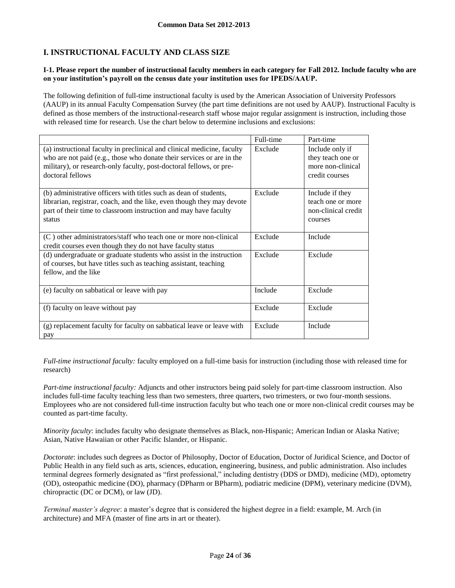# **I. INSTRUCTIONAL FACULTY AND CLASS SIZE**

## **I-1. Please report the number of instructional faculty members in each category for Fall 2012. Include faculty who are on your institution's payroll on the census date your institution uses for IPEDS/AAUP.**

The following definition of full-time instructional faculty is used by the American Association of University Professors (AAUP) in its annual Faculty Compensation Survey (the part time definitions are not used by AAUP). Instructional Faculty is defined as those members of the instructional-research staff whose major regular assignment is instruction, including those with released time for research. Use the chart below to determine inclusions and exclusions:

|                                                                                                                                                                                                                                             | Full-time | Part-time                                                                   |
|---------------------------------------------------------------------------------------------------------------------------------------------------------------------------------------------------------------------------------------------|-----------|-----------------------------------------------------------------------------|
| (a) instructional faculty in preclinical and clinical medicine, faculty<br>who are not paid (e.g., those who donate their services or are in the<br>military), or research-only faculty, post-doctoral fellows, or pre-<br>doctoral fellows | Exclude   | Include only if<br>they teach one or<br>more non-clinical<br>credit courses |
| (b) administrative officers with titles such as dean of students,<br>librarian, registrar, coach, and the like, even though they may devote<br>part of their time to classroom instruction and may have faculty<br>status                   | Exclude   | Include if they<br>teach one or more<br>non-clinical credit<br>courses      |
| (C) other administrators/staff who teach one or more non-clinical<br>credit courses even though they do not have faculty status                                                                                                             | Exclude   | Include                                                                     |
| (d) undergraduate or graduate students who assist in the instruction<br>of courses, but have titles such as teaching assistant, teaching<br>fellow, and the like                                                                            | Exclude   | Exclude                                                                     |
| (e) faculty on sabbatical or leave with pay                                                                                                                                                                                                 | Include   | Exclude                                                                     |
| (f) faculty on leave without pay                                                                                                                                                                                                            | Exclude   | Exclude                                                                     |
| (g) replacement faculty for faculty on sabbatical leave or leave with<br>pay                                                                                                                                                                | Exclude   | Include                                                                     |

*Full-time instructional faculty:* faculty employed on a full-time basis for instruction (including those with released time for research)

*Part-time instructional faculty:* Adjuncts and other instructors being paid solely for part-time classroom instruction. Also includes full-time faculty teaching less than two semesters, three quarters, two trimesters, or two four-month sessions. Employees who are not considered full-time instruction faculty but who teach one or more non-clinical credit courses may be counted as part-time faculty.

*Minority faculty*: includes faculty who designate themselves as Black, non-Hispanic; American Indian or Alaska Native; Asian, Native Hawaiian or other Pacific Islander, or Hispanic.

*Doctorate*: includes such degrees as Doctor of Philosophy, Doctor of Education, Doctor of Juridical Science, and Doctor of Public Health in any field such as arts, sciences, education, engineering, business, and public administration. Also includes terminal degrees formerly designated as "first professional," including dentistry (DDS or DMD), medicine (MD), optometry (OD), osteopathic medicine (DO), pharmacy (DPharm or BPharm), podiatric medicine (DPM), veterinary medicine (DVM), chiropractic (DC or DCM), or law (JD).

*Terminal master's degree*: a master's degree that is considered the highest degree in a field: example, M. Arch (in architecture) and MFA (master of fine arts in art or theater).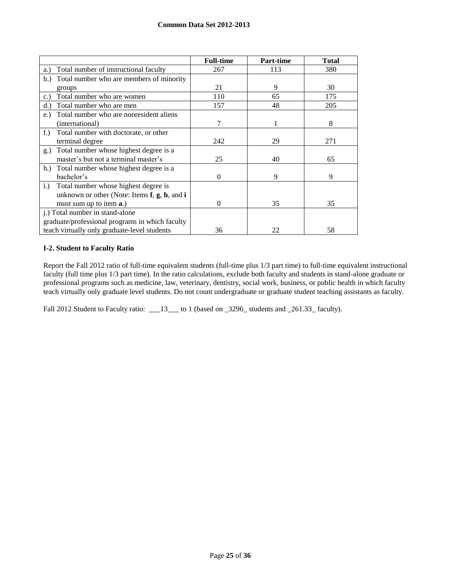|                                                         | <b>Full-time</b> | Part-time | <b>Total</b> |
|---------------------------------------------------------|------------------|-----------|--------------|
| Total number of instructional faculty<br>a.)            | 267              | 113       | 380          |
| Total number who are members of minority<br>b.          |                  |           |              |
| groups                                                  | 21               | 9         | 30           |
| Total number who are women<br>$\mathbf{c}$ .)           | 110              | 65        | 175          |
| Total number who are men<br>d.                          | 157              | 48        | 205          |
| Total number who are nonresident aliens<br>$e$ .        |                  |           |              |
| (international)                                         | 7                |           | 8            |
| Total number with doctorate, or other<br>$f$ .)         |                  |           |              |
| terminal degree                                         | 242              | 29        | 271          |
| Total number whose highest degree is a<br>g.)           |                  |           |              |
| master's but not a terminal master's                    | 25               | 40        | 65           |
| Total number whose highest degree is a<br>h.            |                  |           |              |
| bachelor's                                              | $\Omega$         | 9         | 9            |
| Total number whose highest degree is<br>$i$ .           |                  |           |              |
| unknown or other (Note: Items $f$ , $g$ , $h$ , and $i$ |                  |           |              |
| must sum up to item <b>a</b> .)                         | $\Omega$         | 35        | 35           |
| j.) Total number in stand-alone                         |                  |           |              |
| graduate/professional programs in which faculty         |                  |           |              |
| teach virtually only graduate-level students            | 36               | 22        | 58           |

## **I-2. Student to Faculty Ratio**

Report the Fall 2012 ratio of full-time equivalent students (full-time plus 1/3 part time) to full-time equivalent instructional faculty (full time plus 1/3 part time). In the ratio calculations, exclude both faculty and students in stand-alone graduate or professional programs such as medicine, law, veterinary, dentistry, social work, business, or public health in which faculty teach virtually only graduate level students. Do not count undergraduate or graduate student teaching assistants as faculty.

Fall 2012 Student to Faculty ratio: \_\_13\_\_ to 1 (based on \_3296\_ students and \_261.33\_ faculty).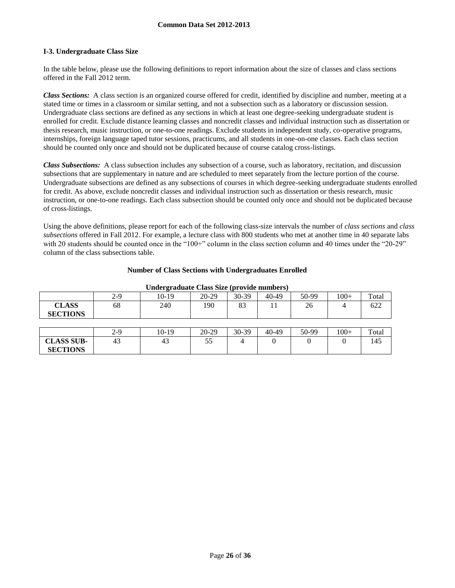## **I-3. Undergraduate Class Size**

In the table below, please use the following definitions to report information about the size of classes and class sections offered in the Fall 2012 term.

*Class Sections:* A class section is an organized course offered for credit, identified by discipline and number, meeting at a stated time or times in a classroom or similar setting, and not a subsection such as a laboratory or discussion session. Undergraduate class sections are defined as any sections in which at least one degree-seeking undergraduate student is enrolled for credit. Exclude distance learning classes and noncredit classes and individual instruction such as dissertation or thesis research, music instruction, or one-to-one readings. Exclude students in independent study, co-operative programs, internships, foreign language taped tutor sessions, practicums, and all students in one-on-one classes. Each class section should be counted only once and should not be duplicated because of course catalog cross-listings.

*Class Subsections:* A class subsection includes any subsection of a course, such as laboratory, recitation, and discussion subsections that are supplementary in nature and are scheduled to meet separately from the lecture portion of the course. Undergraduate subsections are defined as any subsections of courses in which degree-seeking undergraduate students enrolled for credit. As above, exclude noncredit classes and individual instruction such as dissertation or thesis research, music instruction, or one-to-one readings. Each class subsection should be counted only once and should not be duplicated because of cross-listings.

Using the above definitions, please report for each of the following class-size intervals the number of *class sections* and *class subsections* offered in Fall 2012. For example, a lecture class with 800 students who met at another time in 40 separate labs with 20 students should be counted once in the "100+" column in the class section column and 40 times under the "20-29" column of the class subsections table.

## **Number of Class Sections with Undergraduates Enrolled**

| Chuci gruumite Chuss Size (provide humbers) |     |       |       |       |       |       |        |       |
|---------------------------------------------|-----|-------|-------|-------|-------|-------|--------|-------|
|                                             | 2-9 | 10-19 | 20-29 | 30-39 | 40-49 | 50-99 | $100+$ | Total |
| <b>CLASS</b>                                | 68  | 240   | 190   | 83    |       | 26    | 4      | 622   |
| <b>SECTIONS</b>                             |     |       |       |       |       |       |        |       |
|                                             |     |       |       |       |       |       |        |       |
|                                             | 2-9 | 10-19 | 20-29 | 30-39 | 40-49 | 50-99 | $100+$ | Total |
| <b>CLASS SUB-</b>                           | 43  | 43    | 55    |       |       |       |        | 145   |
| <b>SECTIONS</b>                             |     |       |       |       |       |       |        |       |

#### **Undergraduate Class Size (provide numbers)**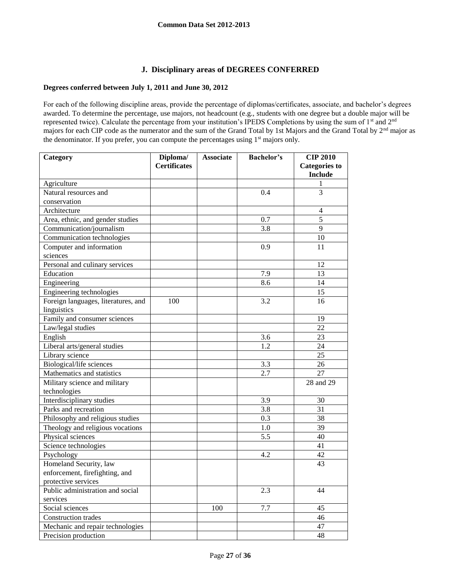# **J. Disciplinary areas of DEGREES CONFERRED**

## **Degrees conferred between July 1, 2011 and June 30, 2012**

For each of the following discipline areas, provide the percentage of diplomas/certificates, associate, and bachelor's degrees awarded. To determine the percentage, use majors, not headcount (e.g., students with one degree but a double major will be represented twice). Calculate the percentage from your institution's IPEDS Completions by using the sum of 1<sup>st</sup> and 2<sup>nd</sup> majors for each CIP code as the numerator and the sum of the Grand Total by 1st Majors and the Grand Total by 2<sup>nd</sup> major as the denominator. If you prefer, you can compute the percentages using 1<sup>st</sup> majors only.

| Category                            | Diploma/            | <b>Associate</b> | <b>Bachelor's</b> | <b>CIP 2010</b>      |
|-------------------------------------|---------------------|------------------|-------------------|----------------------|
|                                     | <b>Certificates</b> |                  |                   | <b>Categories to</b> |
|                                     |                     |                  |                   | <b>Include</b>       |
| Agriculture                         |                     |                  |                   | 1                    |
| Natural resources and               |                     |                  | 0.4               | $\overline{3}$       |
| conservation                        |                     |                  |                   |                      |
| Architecture                        |                     |                  |                   | 4                    |
| Area, ethnic, and gender studies    |                     |                  | 0.7               | 5                    |
| Communication/journalism            |                     |                  | 3.8               | 9                    |
| Communication technologies          |                     |                  |                   | 10                   |
| Computer and information            |                     |                  | 0.9               | 11                   |
| sciences                            |                     |                  |                   |                      |
| Personal and culinary services      |                     |                  |                   | 12                   |
| Education                           |                     |                  | 7.9               | 13                   |
| Engineering                         |                     |                  | 8.6               | 14                   |
| Engineering technologies            |                     |                  |                   | $\overline{15}$      |
| Foreign languages, literatures, and | 100                 |                  | 3.2               | 16                   |
| linguistics                         |                     |                  |                   |                      |
| Family and consumer sciences        |                     |                  |                   | 19                   |
| Law/legal studies                   |                     |                  |                   | 22                   |
| English                             |                     |                  | 3.6               | 23                   |
| Liberal arts/general studies        |                     |                  | 1.2               | 24                   |
| Library science                     |                     |                  |                   | 25                   |
| Biological/life sciences            |                     |                  | 3.3               | $\overline{26}$      |
| Mathematics and statistics          |                     |                  | 2.7               | 27                   |
| Military science and military       |                     |                  |                   | 28 and 29            |
| technologies                        |                     |                  |                   |                      |
| Interdisciplinary studies           |                     |                  | 3.9               | 30                   |
| Parks and recreation                |                     |                  | 3.8               | 31                   |
| Philosophy and religious studies    |                     |                  | 0.3               | 38                   |
| Theology and religious vocations    |                     |                  | 1.0               | 39                   |
| Physical sciences                   |                     |                  | 5.5               | $\overline{40}$      |
| Science technologies                |                     |                  |                   | 41                   |
| Psychology                          |                     |                  | 4.2               | 42                   |
| Homeland Security, law              |                     |                  |                   | 43                   |
| enforcement, firefighting, and      |                     |                  |                   |                      |
| protective services                 |                     |                  |                   |                      |
| Public administration and social    |                     |                  | 2.3               | 44                   |
| services                            |                     |                  |                   |                      |
| Social sciences                     |                     | 100              | 7.7               | 45                   |
| Construction trades                 |                     |                  |                   | 46                   |
| Mechanic and repair technologies    |                     |                  |                   | 47                   |
| Precision production                |                     |                  |                   | 48                   |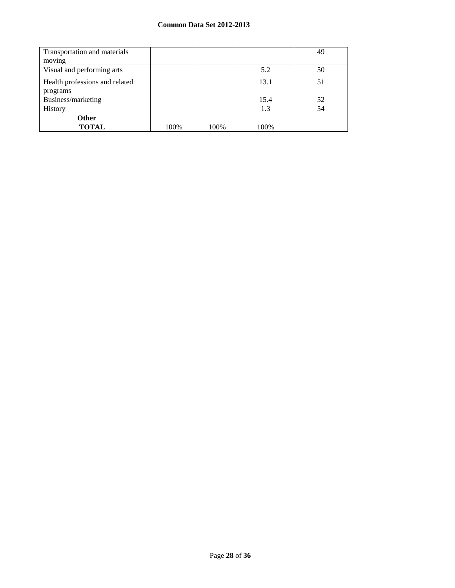| Transportation and materials   |      |      |      | 49 |
|--------------------------------|------|------|------|----|
| moving                         |      |      |      |    |
| Visual and performing arts     |      |      | 5.2  | 50 |
| Health professions and related |      |      | 13.1 | 51 |
| programs                       |      |      |      |    |
| Business/marketing             |      |      | 15.4 | 52 |
| History                        |      |      | 1.3  | 54 |
| Other                          |      |      |      |    |
| <b>TOTAL</b>                   | 100% | 100% | 100% |    |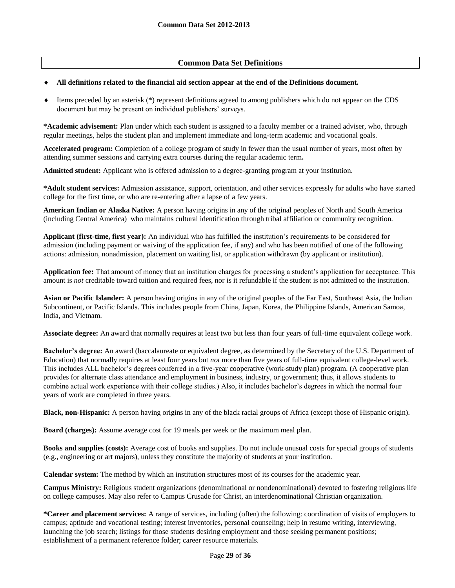# **Common Data Set Definitions**

#### **All definitions related to the financial aid section appear at the end of the Definitions document.**

 $\bullet$  Items preceded by an asterisk (\*) represent definitions agreed to among publishers which do not appear on the CDS document but may be present on individual publishers' surveys.

**\*Academic advisement:** Plan under which each student is assigned to a faculty member or a trained adviser, who, through regular meetings, helps the student plan and implement immediate and long-term academic and vocational goals.

**Accelerated program:** Completion of a college program of study in fewer than the usual number of years, most often by attending summer sessions and carrying extra courses during the regular academic term**.**

**Admitted student:** Applicant who is offered admission to a degree-granting program at your institution.

**\*Adult student services:** Admission assistance, support, orientation, and other services expressly for adults who have started college for the first time, or who are re-entering after a lapse of a few years.

**American Indian or Alaska Native:** A person having origins in any of the original peoples of North and South America (including Central America) who maintains cultural identification through tribal affiliation or community recognition.

**Applicant (first-time, first year):** An individual who has fulfilled the institution's requirements to be considered for admission (including payment or waiving of the application fee, if any) and who has been notified of one of the following actions: admission, nonadmission, placement on waiting list, or application withdrawn (by applicant or institution).

**Application fee:** That amount of money that an institution charges for processing a student's application for acceptance. This amount is *not* creditable toward tuition and required fees, nor is it refundable if the student is not admitted to the institution.

**Asian or Pacific Islander:** A person having origins in any of the original peoples of the Far East, Southeast Asia, the Indian Subcontinent, or Pacific Islands. This includes people from China, Japan, Korea, the Philippine Islands, American Samoa, India, and Vietnam.

**Associate degree:** An award that normally requires at least two but less than four years of full-time equivalent college work.

**Bachelor's degree:** An award (baccalaureate or equivalent degree, as determined by the Secretary of the U.S. Department of Education) that normally requires at least four years but *not* more than five years of full-time equivalent college-level work. This includes ALL bachelor's degrees conferred in a five-year cooperative (work-study plan) program. (A cooperative plan provides for alternate class attendance and employment in business, industry, or government; thus, it allows students to combine actual work experience with their college studies.) Also, it includes bachelor's degrees in which the normal four years of work are completed in three years.

**Black, non-Hispanic:** A person having origins in any of the black racial groups of Africa (except those of Hispanic origin).

**Board (charges):** Assume average cost for 19 meals per week or the maximum meal plan.

**Books and supplies (costs):** Average cost of books and supplies. Do not include unusual costs for special groups of students (e.g., engineering or art majors), unless they constitute the majority of students at your institution.

**Calendar system:** The method by which an institution structures most of its courses for the academic year.

**Campus Ministry:** Religious student organizations (denominational or nondenominational) devoted to fostering religious life on college campuses. May also refer to Campus Crusade for Christ, an interdenominational Christian organization.

**\*Career and placement services:** A range of services, including (often) the following: coordination of visits of employers to campus; aptitude and vocational testing; interest inventories, personal counseling; help in resume writing, interviewing, launching the job search; listings for those students desiring employment and those seeking permanent positions; establishment of a permanent reference folder; career resource materials.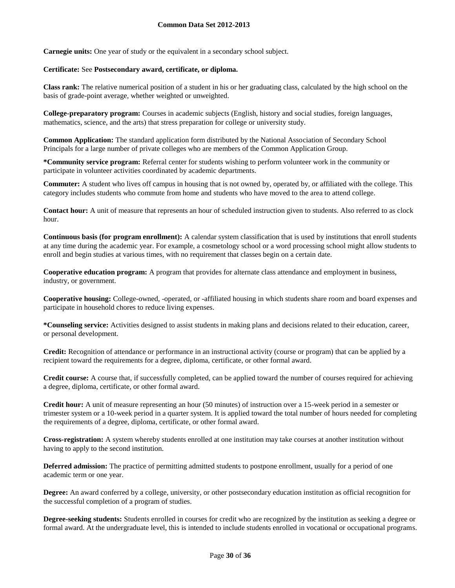**Carnegie units:** One year of study or the equivalent in a secondary school subject.

## **Certificate:** See **Postsecondary award, certificate, or diploma.**

**Class rank:** The relative numerical position of a student in his or her graduating class, calculated by the high school on the basis of grade-point average, whether weighted or unweighted.

**College-preparatory program:** Courses in academic subjects (English, history and social studies, foreign languages, mathematics, science, and the arts) that stress preparation for college or university study.

**Common Application:** The standard application form distributed by the National Association of Secondary School Principals for a large number of private colleges who are members of the Common Application Group.

**\*Community service program:** Referral center for students wishing to perform volunteer work in the community or participate in volunteer activities coordinated by academic departments.

**Commuter:** A student who lives off campus in housing that is not owned by, operated by, or affiliated with the college. This category includes students who commute from home and students who have moved to the area to attend college.

**Contact hour:** A unit of measure that represents an hour of scheduled instruction given to students. Also referred to as clock hour.

**Continuous basis (for program enrollment):** A calendar system classification that is used by institutions that enroll students at any time during the academic year. For example, a cosmetology school or a word processing school might allow students to enroll and begin studies at various times, with no requirement that classes begin on a certain date.

**Cooperative education program:** A program that provides for alternate class attendance and employment in business, industry, or government.

**Cooperative housing:** College-owned, -operated, or -affiliated housing in which students share room and board expenses and participate in household chores to reduce living expenses.

**\*Counseling service:** Activities designed to assist students in making plans and decisions related to their education, career, or personal development.

**Credit:** Recognition of attendance or performance in an instructional activity (course or program) that can be applied by a recipient toward the requirements for a degree, diploma, certificate, or other formal award.

**Credit course:** A course that, if successfully completed, can be applied toward the number of courses required for achieving a degree, diploma, certificate, or other formal award.

**Credit hour:** A unit of measure representing an hour (50 minutes) of instruction over a 15-week period in a semester or trimester system or a 10-week period in a quarter system. It is applied toward the total number of hours needed for completing the requirements of a degree, diploma, certificate, or other formal award.

**Cross-registration:** A system whereby students enrolled at one institution may take courses at another institution without having to apply to the second institution.

**Deferred admission:** The practice of permitting admitted students to postpone enrollment, usually for a period of one academic term or one year.

**Degree:** An award conferred by a college, university, or other postsecondary education institution as official recognition for the successful completion of a program of studies.

**Degree-seeking students:** Students enrolled in courses for credit who are recognized by the institution as seeking a degree or formal award. At the undergraduate level, this is intended to include students enrolled in vocational or occupational programs.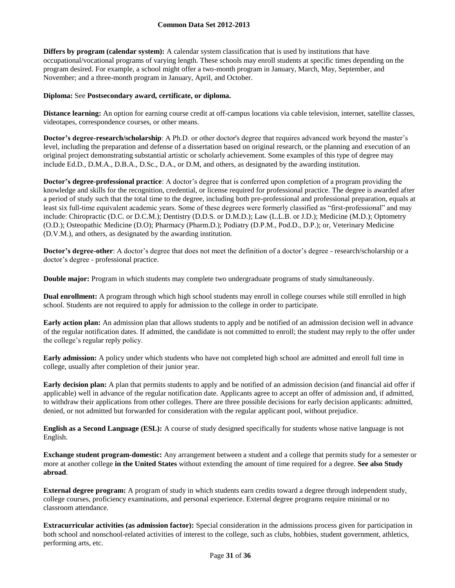**Differs by program (calendar system):** A calendar system classification that is used by institutions that have occupational/vocational programs of varying length. These schools may enroll students at specific times depending on the program desired. For example, a school might offer a two-month program in January, March, May, September, and November; and a three-month program in January, April, and October.

## **Diploma:** See **Postsecondary award, certificate, or diploma.**

**Distance learning:** An option for earning course credit at off-campus locations via cable television, internet, satellite classes, videotapes, correspondence courses, or other means.

**Doctor's degree-research/scholarship**: A Ph.D. or other doctor's degree that requires advanced work beyond the master's level, including the preparation and defense of a dissertation based on original research, or the planning and execution of an original project demonstrating substantial artistic or scholarly achievement. Some examples of this type of degree may include Ed.D., D.M.A., D.B.A., D.Sc., D.A., or D.M, and others, as designated by the awarding institution.

**Doctor's degree-professional practice**: A doctor's degree that is conferred upon completion of a program providing the knowledge and skills for the recognition, credential, or license required for professional practice. The degree is awarded after a period of study such that the total time to the degree, including both pre-professional and professional preparation, equals at least six full-time equivalent academic years. Some of these degrees were formerly classified as "first-professional" and may include: Chiropractic (D.C. or D.C.M.); Dentistry (D.D.S. or D.M.D.); Law (L.L.B. or J.D.); Medicine (M.D.); Optometry (O.D.); Osteopathic Medicine (D.O); Pharmacy (Pharm.D.); Podiatry (D.P.M., Pod.D., D.P.); or, Veterinary Medicine (D.V.M.), and others, as designated by the awarding institution.

**Doctor's degree-other**: A doctor's degree that does not meet the definition of a doctor's degree - research/scholarship or a doctor's degree - professional practice.

**Double major:** Program in which students may complete two undergraduate programs of study simultaneously.

**Dual enrollment:** A program through which high school students may enroll in college courses while still enrolled in high school. Students are not required to apply for admission to the college in order to participate.

**Early action plan:** An admission plan that allows students to apply and be notified of an admission decision well in advance of the regular notification dates. If admitted, the candidate is not committed to enroll; the student may reply to the offer under the college's regular reply policy.

**Early admission:** A policy under which students who have not completed high school are admitted and enroll full time in college, usually after completion of their junior year.

**Early decision plan:** A plan that permits students to apply and be notified of an admission decision (and financial aid offer if applicable) well in advance of the regular notification date. Applicants agree to accept an offer of admission and, if admitted, to withdraw their applications from other colleges. There are three possible decisions for early decision applicants: admitted, denied, or not admitted but forwarded for consideration with the regular applicant pool, without prejudice.

**English as a Second Language (ESL):** A course of study designed specifically for students whose native language is not English.

**Exchange student program-domestic:** Any arrangement between a student and a college that permits study for a semester or more at another college **in the United States** without extending the amount of time required for a degree. **See also Study abroad**.

**External degree program:** A program of study in which students earn credits toward a degree through independent study, college courses, proficiency examinations, and personal experience. External degree programs require minimal or no classroom attendance.

**Extracurricular activities (as admission factor):** Special consideration in the admissions process given for participation in both school and nonschool-related activities of interest to the college, such as clubs, hobbies, student government, athletics, performing arts, etc.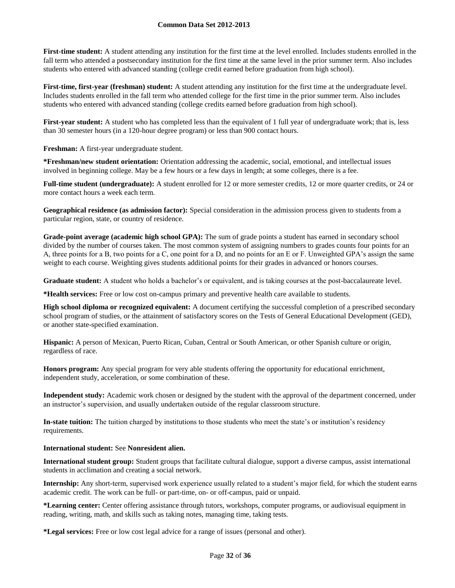First-time student: A student attending any institution for the first time at the level enrolled. Includes students enrolled in the fall term who attended a postsecondary institution for the first time at the same level in the prior summer term. Also includes students who entered with advanced standing (college credit earned before graduation from high school).

**First-time, first-year (freshman) student:** A student attending any institution for the first time at the undergraduate level. Includes students enrolled in the fall term who attended college for the first time in the prior summer term. Also includes students who entered with advanced standing (college credits earned before graduation from high school).

First-year student: A student who has completed less than the equivalent of 1 full year of undergraduate work; that is, less than 30 semester hours (in a 120-hour degree program) or less than 900 contact hours.

**Freshman:** A first-year undergraduate student.

**\*Freshman/new student orientation:** Orientation addressing the academic, social, emotional, and intellectual issues involved in beginning college. May be a few hours or a few days in length; at some colleges, there is a fee.

**Full-time student (undergraduate):** A student enrolled for 12 or more semester credits, 12 or more quarter credits, or 24 or more contact hours a week each term.

**Geographical residence (as admission factor):** Special consideration in the admission process given to students from a particular region, state, or country of residence.

**Grade-point average (academic high school GPA):** The sum of grade points a student has earned in secondary school divided by the number of courses taken. The most common system of assigning numbers to grades counts four points for an A, three points for a B, two points for a C, one point for a D, and no points for an E or F. Unweighted GPA's assign the same weight to each course. Weighting gives students additional points for their grades in advanced or honors courses.

**Graduate student:** A student who holds a bachelor's or equivalent, and is taking courses at the post-baccalaureate level.

**\*Health services:** Free or low cost on-campus primary and preventive health care available to students.

**High school diploma or recognized equivalent:** A document certifying the successful completion of a prescribed secondary school program of studies, or the attainment of satisfactory scores on the Tests of General Educational Development (GED), or another state-specified examination.

**Hispanic:** A person of Mexican, Puerto Rican, Cuban, Central or South American, or other Spanish culture or origin, regardless of race.

**Honors program:** Any special program for very able students offering the opportunity for educational enrichment, independent study, acceleration, or some combination of these.

**Independent study:** Academic work chosen or designed by the student with the approval of the department concerned, under an instructor's supervision, and usually undertaken outside of the regular classroom structure.

**In-state tuition:** The tuition charged by institutions to those students who meet the state's or institution's residency requirements.

#### **International student:** See **Nonresident alien.**

**International student group:** Student groups that facilitate cultural dialogue, support a diverse campus, assist international students in acclimation and creating a social network.

**Internship:** Any short-term, supervised work experience usually related to a student's major field, for which the student earns academic credit. The work can be full- or part-time, on- or off-campus, paid or unpaid.

**\*Learning center:** Center offering assistance through tutors, workshops, computer programs, or audiovisual equipment in reading, writing, math, and skills such as taking notes, managing time, taking tests.

**\*Legal services:** Free or low cost legal advice for a range of issues (personal and other).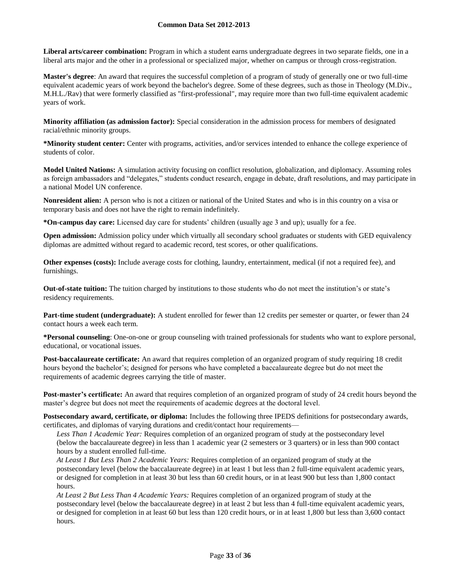**Liberal arts/career combination:** Program in which a student earns undergraduate degrees in two separate fields, one in a liberal arts major and the other in a professional or specialized major, whether on campus or through cross-registration.

**Master's degree**: An award that requires the successful completion of a program of study of generally one or two full-time equivalent academic years of work beyond the bachelor's degree. Some of these degrees, such as those in Theology (M.Div., M.H.L./Rav) that were formerly classified as "first-professional", may require more than two full-time equivalent academic years of work.

**Minority affiliation (as admission factor):** Special consideration in the admission process for members of designated racial/ethnic minority groups.

**\*Minority student center:** Center with programs, activities, and/or services intended to enhance the college experience of students of color.

**Model United Nations:** A simulation activity focusing on conflict resolution, globalization, and diplomacy. Assuming roles as foreign ambassadors and "delegates," students conduct research, engage in debate, draft resolutions, and may participate in a national Model UN conference.

**Nonresident alien:** A person who is not a citizen or national of the United States and who is in this country on a visa or temporary basis and does not have the right to remain indefinitely.

**\*On-campus day care:** Licensed day care for students' children (usually age 3 and up); usually for a fee.

**Open admission:** Admission policy under which virtually all secondary school graduates or students with GED equivalency diplomas are admitted without regard to academic record, test scores, or other qualifications.

**Other expenses (costs):** Include average costs for clothing, laundry, entertainment, medical (if not a required fee), and furnishings.

**Out-of-state tuition:** The tuition charged by institutions to those students who do not meet the institution's or state's residency requirements.

**Part-time student (undergraduate):** A student enrolled for fewer than 12 credits per semester or quarter, or fewer than 24 contact hours a week each term.

**\*Personal counseling**: One-on-one or group counseling with trained professionals for students who want to explore personal, educational, or vocational issues.

**Post-baccalaureate certificate:** An award that requires completion of an organized program of study requiring 18 credit hours beyond the bachelor's; designed for persons who have completed a baccalaureate degree but do not meet the requirements of academic degrees carrying the title of master.

**Post-master's certificate:** An award that requires completion of an organized program of study of 24 credit hours beyond the master's degree but does not meet the requirements of academic degrees at the doctoral level.

**Postsecondary award, certificate, or diploma:** Includes the following three IPEDS definitions for postsecondary awards, certificates, and diplomas of varying durations and credit/contact hour requirements—

*Less Than 1 Academic Year:* Requires completion of an organized program of study at the postsecondary level (below the baccalaureate degree) in less than 1 academic year (2 semesters or 3 quarters) or in less than 900 contact hours by a student enrolled full-time.

*At Least 1 But Less Than 2 Academic Years:* Requires completion of an organized program of study at the postsecondary level (below the baccalaureate degree) in at least 1 but less than 2 full-time equivalent academic years, or designed for completion in at least 30 but less than 60 credit hours, or in at least 900 but less than 1,800 contact hours.

*At Least 2 But Less Than 4 Academic Years:* Requires completion of an organized program of study at the postsecondary level (below the baccalaureate degree) in at least 2 but less than 4 full-time equivalent academic years, or designed for completion in at least 60 but less than 120 credit hours, or in at least 1,800 but less than 3,600 contact hours.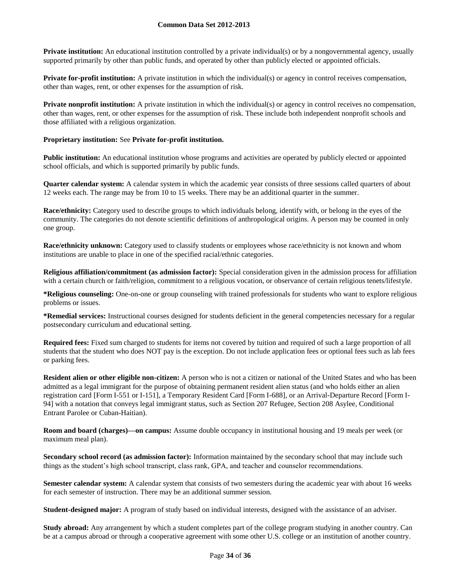**Private institution:** An educational institution controlled by a private individual(s) or by a nongovernmental agency, usually supported primarily by other than public funds, and operated by other than publicly elected or appointed officials.

**Private for-profit institution:** A private institution in which the individual(s) or agency in control receives compensation, other than wages, rent, or other expenses for the assumption of risk.

**Private nonprofit institution:** A private institution in which the individual(s) or agency in control receives no compensation, other than wages, rent, or other expenses for the assumption of risk. These include both independent nonprofit schools and those affiliated with a religious organization.

## **Proprietary institution:** See **Private for-profit institution.**

**Public institution:** An educational institution whose programs and activities are operated by publicly elected or appointed school officials, and which is supported primarily by public funds.

**Quarter calendar system:** A calendar system in which the academic year consists of three sessions called quarters of about 12 weeks each. The range may be from 10 to 15 weeks. There may be an additional quarter in the summer.

**Race/ethnicity:** Category used to describe groups to which individuals belong, identify with, or belong in the eyes of the community. The categories do not denote scientific definitions of anthropological origins. A person may be counted in only one group.

**Race/ethnicity unknown:** Category used to classify students or employees whose race/ethnicity is not known and whom institutions are unable to place in one of the specified racial/ethnic categories.

**Religious affiliation/commitment (as admission factor):** Special consideration given in the admission process for affiliation with a certain church or faith/religion, commitment to a religious vocation, or observance of certain religious tenets/lifestyle.

**\*Religious counseling:** One-on-one or group counseling with trained professionals for students who want to explore religious problems or issues.

**\*Remedial services:** Instructional courses designed for students deficient in the general competencies necessary for a regular postsecondary curriculum and educational setting.

**Required fees:** Fixed sum charged to students for items not covered by tuition and required of such a large proportion of all students that the student who does NOT pay is the exception. Do not include application fees or optional fees such as lab fees or parking fees.

**Resident alien or other eligible non-citizen:** A person who is not a citizen or national of the United States and who has been admitted as a legal immigrant for the purpose of obtaining permanent resident alien status (and who holds either an alien registration card [Form I-551 or I-151], a Temporary Resident Card [Form I-688], or an Arrival-Departure Record [Form I-94] with a notation that conveys legal immigrant status, such as Section 207 Refugee, Section 208 Asylee, Conditional Entrant Parolee or Cuban-Haitian).

**Room and board (charges)—on campus:** Assume double occupancy in institutional housing and 19 meals per week (or maximum meal plan).

**Secondary school record (as admission factor):** Information maintained by the secondary school that may include such things as the student's high school transcript, class rank, GPA, and teacher and counselor recommendations.

**Semester calendar system:** A calendar system that consists of two semesters during the academic year with about 16 weeks for each semester of instruction. There may be an additional summer session.

**Student-designed major:** A program of study based on individual interests, designed with the assistance of an adviser.

**Study abroad:** Any arrangement by which a student completes part of the college program studying in another country. Can be at a campus abroad or through a cooperative agreement with some other U.S. college or an institution of another country.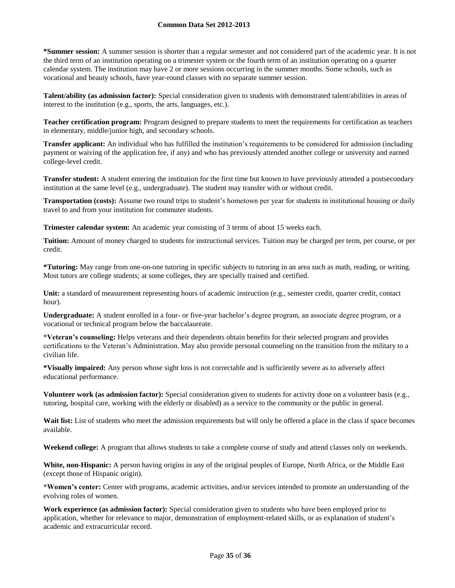**\*Summer session:** A summer session is shorter than a regular semester and not considered part of the academic year. It is not the third term of an institution operating on a trimester system or the fourth term of an institution operating on a quarter calendar system. The institution may have 2 or more sessions occurring in the summer months. Some schools, such as vocational and beauty schools, have year-round classes with no separate summer session.

**Talent/ability (as admission factor):** Special consideration given to students with demonstrated talent/abilities in areas of interest to the institution (e.g., sports, the arts, languages, etc.).

**Teacher certification program:** Program designed to prepare students to meet the requirements for certification as teachers in elementary, middle/junior high, and secondary schools.

**Transfer applicant:** An individual who has fulfilled the institution's requirements to be considered for admission (including payment or waiving of the application fee, if any) and who has previously attended another college or university and earned college-level credit.

**Transfer student:** A student entering the institution for the first time but known to have previously attended a postsecondary institution at the same level (e.g., undergraduate). The student may transfer with or without credit.

**Transportation (costs):** Assume two round trips to student's hometown per year for students in institutional housing or daily travel to and from your institution for commuter students.

**Trimester calendar system:** An academic year consisting of 3 terms of about 15 weeks each.

**Tuition:** Amount of money charged to students for instructional services. Tuition may be charged per term, per course, or per credit.

**\*Tutoring:** May range from one-on-one tutoring in specific subjects to tutoring in an area such as math, reading, or writing. Most tutors are college students; at some colleges, they are specially trained and certified.

Unit: a standard of measurement representing hours of academic instruction (e.g., semester credit, quarter credit, contact hour).

**Undergraduate:** A student enrolled in a four- or five-year bachelor's degree program, an associate degree program, or a vocational or technical program below the baccalaureate.

**\*Veteran's counseling:** Helps veterans and their dependents obtain benefits for their selected program and provides certifications to the Veteran's Administration. May also provide personal counseling on the transition from the military to a civilian life.

**\*Visually impaired:** Any person whose sight loss is not correctable and is sufficiently severe as to adversely affect educational performance.

**Volunteer work (as admission factor):** Special consideration given to students for activity done on a volunteer basis (e.g., tutoring, hospital care, working with the elderly or disabled) as a service to the community or the public in general.

Wait list: List of students who meet the admission requirements but will only be offered a place in the class if space becomes available.

**Weekend college:** A program that allows students to take a complete course of study and attend classes only on weekends.

**White, non-Hispanic:** A person having origins in any of the original peoples of Europe, North Africa, or the Middle East (except those of Hispanic origin).

**\*Women's center:** Center with programs, academic activities, and/or services intended to promote an understanding of the evolving roles of women.

**Work experience (as admission factor):** Special consideration given to students who have been employed prior to application, whether for relevance to major, demonstration of employment-related skills, or as explanation of student's academic and extracurricular record.